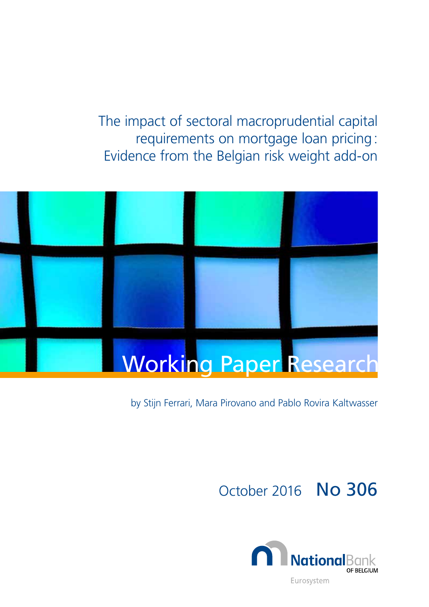The impact of sectoral macroprudential capital requirements on mortgage loan pricing: Evidence from the Belgian risk weight add-on



# by Stijn Ferrari, Mara Pirovano and Pablo Rovira Kaltwasser

# October 2016 No 306

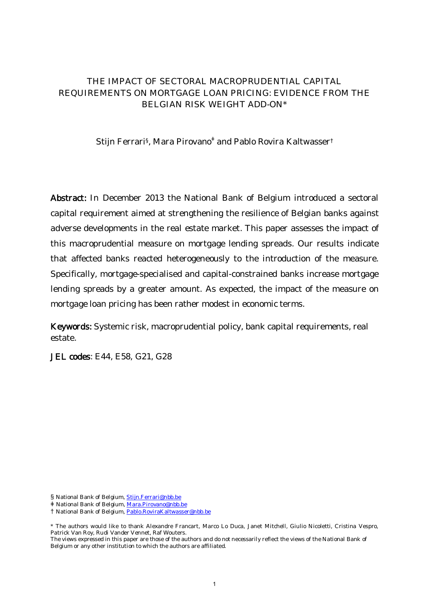### THE IMPACT OF SECTORAL MACROPRUDENTIAL CAPITAL REQUIREMENTS ON MORTGAGE LOAN PRICING: EVIDENCE FROM THE BELGIAN RISK WEIGHT ADD-ON\*

Stijn Ferrari<sup>§</sup>, Mara Pirovano<sup>‡</sup> and Pablo Rovira Kaltwasser<sup>†</sup>

Abstract: In December 2013 the National Bank of Belgium introduced a sectoral capital requirement aimed at strengthening the resilience of Belgian banks against adverse developments in the real estate market. This paper assesses the impact of this macroprudential measure on mortgage lending spreads. Our results indicate that affected banks reacted heterogeneously to the introduction of the measure. Specifically, mortgage-specialised and capital-constrained banks increase mortgage lending spreads by a greater amount. As expected, the impact of the measure on mortgage loan pricing has been rather modest in economic terms.

Keywords: Systemic risk, macroprudential policy, bank capital requirements, real estate.

JEL codes: E44, E58, G21, G28

§ National Bank of Belgium, Stijn.Ferrari@nbb.be

ۆ National Bank of Belgium, Mara.Pirovano@nbb.be

<sup>†</sup> National Bank of Belgium, Pablo.RoviraKaltwasser@nbb.be

<sup>\*</sup> The authors would like to thank Alexandre Francart, Marco Lo Duca, Janet Mitchell, Giulio Nicoletti, Cristina Vespro, Patrick Van Roy, Rudi Vander Vennet, Raf Wouters.

The views expressed in this paper are those of the authors and do not necessarily reflect the views of the National Bank of Belgium or any other institution to which the authors are affiliated.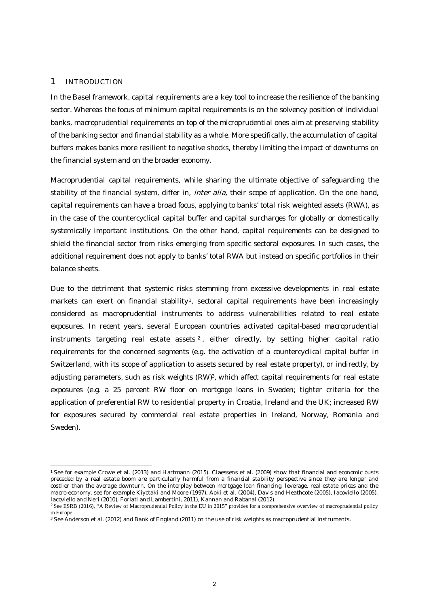#### 1 INTRODUCTION

1

In the Basel framework, capital requirements are a key tool to increase the resilience of the banking sector. Whereas the focus of minimum capital requirements is on the solvency position of individual banks, macroprudential requirements on top of the microprudential ones aim at preserving stability of the banking sector and financial stability as a whole. More specifically, the accumulation of capital buffers makes banks more resilient to negative shocks, thereby limiting the impact of downturns on the financial system and on the broader economy.

Macroprudential capital requirements, while sharing the ultimate objective of safeguarding the stability of the financial system, differ in, *inter alia*, their scope of application. On the one hand, capital requirements can have a broad focus, applying to banks' total risk weighted assets (RWA), as in the case of the countercyclical capital buffer and capital surcharges for globally or domestically systemically important institutions. On the other hand, capital requirements can be designed to shield the financial sector from risks emerging from specific sectoral exposures. In such cases, the additional requirement does not apply to banks' total RWA but instead on specific portfolios in their balance sheets.

Due to the detriment that systemic risks stemming from excessive developments in real estate markets can exert on financial stability<sup>1</sup>, sectoral capital requirements have been increasingly considered as macroprudential instruments to address vulnerabilities related to real estate exposures. In recent years, several European countries activated capital-based macroprudential instruments targeting real estate assets <sup>2</sup> , either directly, by setting higher capital ratio requirements for the concerned segments (e.g. the activation of a countercyclical capital buffer in Switzerland, with its scope of application to assets secured by real estate property), or indirectly, by adjusting parameters, such as risk weights (RW)<sup>3</sup>, which affect capital requirements for real estate exposures (e.g. a 25 percent RW floor on mortgage loans in Sweden; tighter criteria for the application of preferential RW to residential property in Croatia, Ireland and the UK; increased RW for exposures secured by commercial real estate properties in Ireland, Norway, Romania and Sweden).

<sup>1</sup> See for example Crowe et al. (2013) and Hartmann (2015). Claessens et al. (2009) show that financial and economic busts preceded by a real estate boom are particularly harmful from a financial stability perspective since they are longer and costlier than the average downturn. On the interplay between mortgage loan financing, leverage, real estate prices and the macro-economy, see for example Kiyotaki and Moore (1997), Aoki et al. (2004), Davis and Heathcote (2005), Iacoviello (2005), Iacoviello and Neri (2010), Forlati and Lambertini, 2011), Kannan and Rabanal (2012).

<sup>2</sup> See ESRB (2016), "A Review of Macroprudential Policy in the EU in 2015" provides for a comprehensive overview of macroprudential policy in Europe.

<sup>3</sup> See Anderson et al. (2012) and Bank of England (2011) on the use of risk weights as macroprudential instruments.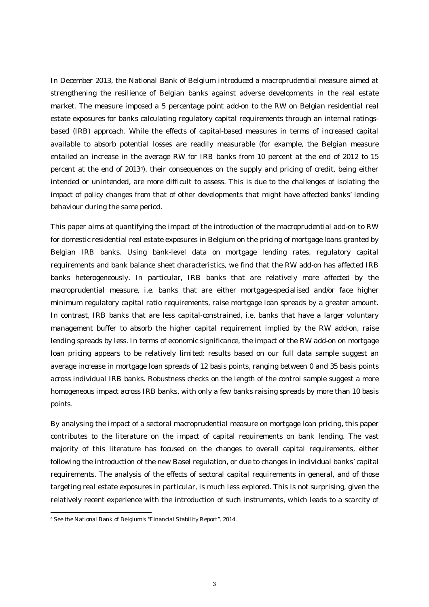In December 2013, the National Bank of Belgium introduced a macroprudential measure aimed at strengthening the resilience of Belgian banks against adverse developments in the real estate market. The measure imposed a 5 percentage point add-on to the RW on Belgian residential real estate exposures for banks calculating regulatory capital requirements through an internal ratingsbased (IRB) approach. While the effects of capital-based measures in terms of increased capital available to absorb potential losses are readily measurable (for example, the Belgian measure entailed an increase in the average RW for IRB banks from 10 percent at the end of 2012 to 15 percent at the end of 20134), their consequences on the supply and pricing of credit, being either intended or unintended, are more difficult to assess. This is due to the challenges of isolating the impact of policy changes from that of other developments that might have affected banks' lending behaviour during the same period.

This paper aims at quantifying the impact of the introduction of the macroprudential add-on to RW for domestic residential real estate exposures in Belgium on the pricing of mortgage loans granted by Belgian IRB banks. Using bank-level data on mortgage lending rates, regulatory capital requirements and bank balance sheet characteristics, we find that the RW add-on has affected IRB banks heterogeneously. In particular, IRB banks that are relatively more affected by the macroprudential measure, i.e. banks that are either mortgage-specialised and/or face higher minimum regulatory capital ratio requirements, raise mortgage loan spreads by a greater amount. In contrast, IRB banks that are less capital-constrained, i.e. banks that have a larger voluntary management buffer to absorb the higher capital requirement implied by the RW add-on, raise lending spreads by less. In terms of economic significance, the impact of the RW add-on on mortgage loan pricing appears to be relatively limited: results based on our full data sample suggest an average increase in mortgage loan spreads of 12 basis points, ranging between 0 and 35 basis points across individual IRB banks. Robustness checks on the length of the control sample suggest a more homogeneous impact across IRB banks, with only a few banks raising spreads by more than 10 basis points.

By analysing the impact of a sectoral macroprudential measure on mortgage loan pricing, this paper contributes to the literature on the impact of capital requirements on bank lending. The vast majority of this literature has focused on the changes to overall capital requirements, either following the introduction of the new Basel regulation, or due to changes in individual banks' capital requirements. The analysis of the effects of sectoral capital requirements in general, and of those targeting real estate exposures in particular, is much less explored. This is not surprising, given the relatively recent experience with the introduction of such instruments, which leads to a scarcity of

1

<sup>4</sup> See the National Bank of Belgium's "Financial Stability Report", 2014.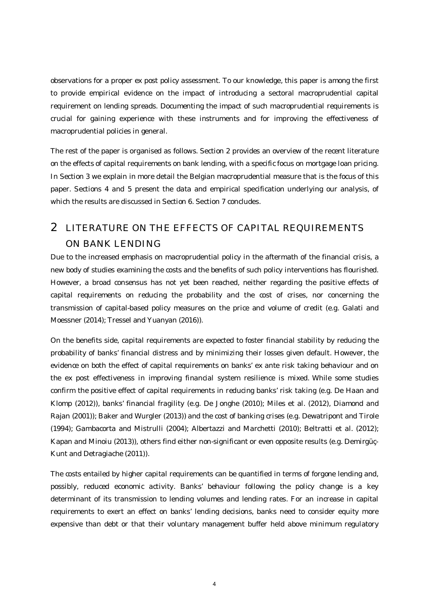observations for a proper ex post policy assessment. To our knowledge, this paper is among the first to provide empirical evidence on the impact of introducing a sectoral macroprudential capital requirement on lending spreads. Documenting the impact of such macroprudential requirements is crucial for gaining experience with these instruments and for improving the effectiveness of macroprudential policies in general.

The rest of the paper is organised as follows. Section 2 provides an overview of the recent literature on the effects of capital requirements on bank lending, with a specific focus on mortgage loan pricing. In Section 3 we explain in more detail the Belgian macroprudential measure that is the focus of this paper. Sections 4 and 5 present the data and empirical specification underlying our analysis, of which the results are discussed in Section 6. Section 7 concludes.

# 2 LITERATURE ON THE EFFECTS OF CAPITAL REQUIREMENTS ON BANK LENDING

Due to the increased emphasis on macroprudential policy in the aftermath of the financial crisis, a new body of studies examining the costs and the benefits of such policy interventions has flourished. However, a broad consensus has not yet been reached, neither regarding the positive effects of capital requirements on reducing the probability and the cost of crises, nor concerning the transmission of capital-based policy measures on the price and volume of credit (e.g. Galati and Moessner (2014); Tressel and Yuanyan (2016)).

On the benefits side, capital requirements are expected to foster financial stability by reducing the probability of banks' financial distress and by minimizing their losses given default. However, the evidence on both the effect of capital requirements on banks' ex ante risk taking behaviour and on the ex post effectiveness in improving financial system resilience is mixed. While some studies confirm the positive effect of capital requirements in reducing banks' risk taking (e.g. De Haan and Klomp (2012)), banks' financial fragility (e.g. De Jonghe (2010); Miles et al. (2012), Diamond and Rajan (2001)); Baker and Wurgler (2013)) and the cost of banking crises (e.g. Dewatripont and Tirole (1994); Gambacorta and Mistrulli (2004); Albertazzi and Marchetti (2010); Beltratti et al. (2012); Kapan and Minoiu (2013)), others find either non-significant or even opposite results (e.g. Demirgüç-Kunt and Detragiache (2011)).

The costs entailed by higher capital requirements can be quantified in terms of forgone lending and, possibly, reduced economic activity. Banks' behaviour following the policy change is a key determinant of its transmission to lending volumes and lending rates. For an increase in capital requirements to exert an effect on banks' lending decisions, banks need to consider equity more expensive than debt or that their voluntary management buffer held above minimum regulatory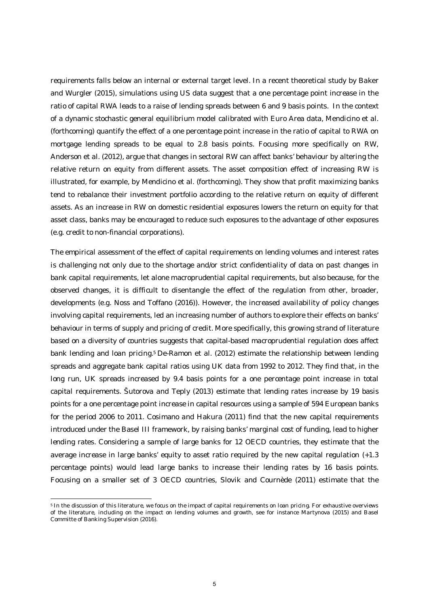requirements falls below an internal or external target level. In a recent theoretical study by Baker and Wurgler (2015), simulations using US data suggest that a one percentage point increase in the ratio of capital RWA leads to a raise of lending spreads between 6 and 9 basis points. In the context of a dynamic stochastic general equilibrium model calibrated with Euro Area data, Mendicino et al. (forthcoming) quantify the effect of a one percentage point increase in the ratio of capital to RWA on mortgage lending spreads to be equal to 2.8 basis points. Focusing more specifically on RW, Anderson et al. (2012), argue that changes in sectoral RW can affect banks' behaviour by altering the relative return on equity from different assets. The asset composition effect of increasing RW is illustrated, for example, by Mendicino et al. (forthcoming). They show that profit maximizing banks tend to rebalance their investment portfolio according to the relative return on equity of different assets. As an increase in RW on domestic residential exposures lowers the return on equity for that asset class, banks may be encouraged to reduce such exposures to the advantage of other exposures (e.g. credit to non-financial corporations).

The empirical assessment of the effect of capital requirements on lending volumes and interest rates is challenging not only due to the shortage and/or strict confidentiality of data on past changes in bank capital requirements, let alone macroprudential capital requirements, but also because, for the observed changes, it is difficult to disentangle the effect of the regulation from other, broader, developments (e.g. Noss and Toffano (2016)). However, the increased availability of policy changes involving capital requirements, led an increasing number of authors to explore their effects on banks' behaviour in terms of supply and pricing of credit. More specifically, this growing strand of literature based on a diversity of countries suggests that capital-based macroprudential regulation does affect bank lending and loan pricing.5 De-Ramon et al. (2012) estimate the relationship between lending spreads and aggregate bank capital ratios using UK data from 1992 to 2012. They find that, in the long run, UK spreads increased by 9.4 basis points for a one percentage point increase in total capital requirements. Šutorova and Teply (2013) estimate that lending rates increase by 19 basis points for a one percentage point increase in capital resources using a sample of 594 European banks for the period 2006 to 2011. Cosimano and Hakura (2011) find that the new capital requirements introduced under the Basel III framework, by raising banks' marginal cost of funding, lead to higher lending rates. Considering a sample of large banks for 12 OECD countries, they estimate that the average increase in large banks' equity to asset ratio required by the new capital regulation (+1.3 percentage points) would lead large banks to increase their lending rates by 16 basis points. Focusing on a smaller set of 3 OECD countries, Slovik and Cournède (2011) estimate that the

.

<sup>5</sup> In the discussion of this literature, we focus on the impact of capital requirements on loan pricing. For exhaustive overviews of the literature, including on the impact on lending volumes and growth, see for instance Martynova (2015) and Basel Committe of Banking Supervision (2016).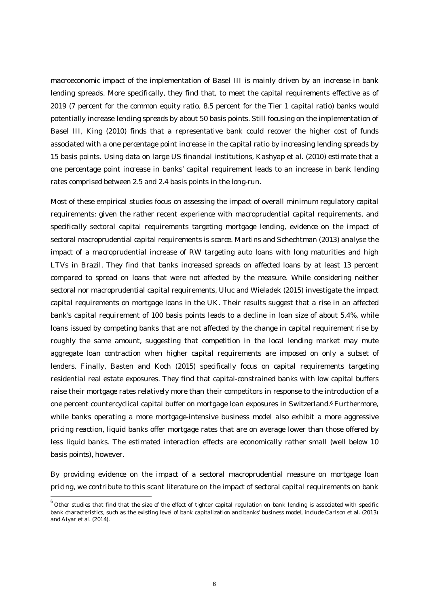macroeconomic impact of the implementation of Basel III is mainly driven by an increase in bank lending spreads. More specifically, they find that, to meet the capital requirements effective as of 2019 (7 percent for the common equity ratio, 8.5 percent for the Tier 1 capital ratio) banks would potentially increase lending spreads by about 50 basis points. Still focusing on the implementation of Basel III, King (2010) finds that a representative bank could recover the higher cost of funds associated with a one percentage point increase in the capital ratio by increasing lending spreads by 15 basis points. Using data on large US financial institutions, Kashyap et al. (2010) estimate that a one percentage point increase in banks' capital requirement leads to an increase in bank lending rates comprised between 2.5 and 2.4 basis points in the long-run.

Most of these empirical studies focus on assessing the impact of overall minimum regulatory capital requirements: given the rather recent experience with macroprudential capital requirements, and specifically sectoral capital requirements targeting mortgage lending, evidence on the impact of sectoral macroprudential capital requirements is scarce. Martins and Schechtman (2013) analyse the impact of a macroprudential increase of RW targeting auto loans with long maturities and high LTVs in Brazil. They find that banks increased spreads on affected loans by at least 13 percent compared to spread on loans that were not affected by the measure. While considering neither sectoral nor macroprudential capital requirements, Uluc and Wieladek (2015) investigate the impact capital requirements on mortgage loans in the UK. Their results suggest that a rise in an affected bank's capital requirement of 100 basis points leads to a decline in loan size of about 5.4%, while loans issued by competing banks that are not affected by the change in capital requirement rise by roughly the same amount, suggesting that competition in the local lending market may mute aggregate loan contraction when higher capital requirements are imposed on only a subset of lenders. Finally, Basten and Koch (2015) specifically focus on capital requirements targeting residential real estate exposures. They find that capital-constrained banks with low capital buffers raise their mortgage rates relatively more than their competitors in response to the introduction of a one percent countercyclical capital buffer on mortgage loan exposures in Switzerland.<sup>6</sup> Furthermore, while banks operating a more mortgage-intensive business model also exhibit a more aggressive pricing reaction, liquid banks offer mortgage rates that are on average lower than those offered by less liquid banks. The estimated interaction effects are economically rather small (well below 10 basis points), however.

By providing evidence on the impact of a sectoral macroprudential measure on mortgage loan pricing, we contribute to this scant literature on the impact of sectoral capital requirements on bank

1

 $^6$  Other studies that find that the size of the effect of tighter capital regulation on bank lending is associated with specific bank characteristics, such as the existing level of bank capitalization and banks' business model, include Carlson et al. (2013) and Aiyar et al. (2014).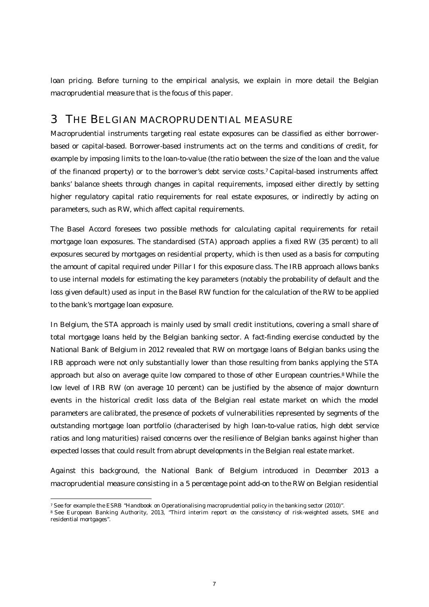loan pricing. Before turning to the empirical analysis, we explain in more detail the Belgian macroprudential measure that is the focus of this paper.

# 3 THE BELGIAN MACROPRUDENTIAL MEASURE

Macroprudential instruments targeting real estate exposures can be classified as either borrowerbased or capital-based. Borrower-based instruments act on the terms and conditions of credit, for example by imposing limits to the loan-to-value (the ratio between the size of the loan and the value of the financed property) or to the borrower's debt service costs.7 Capital-based instruments affect banks' balance sheets through changes in capital requirements, imposed either directly by setting higher regulatory capital ratio requirements for real estate exposures, or indirectly by acting on parameters, such as RW, which affect capital requirements.

The Basel Accord foresees two possible methods for calculating capital requirements for retail mortgage loan exposures. The standardised (STA) approach applies a fixed RW (35 percent) to all exposures secured by mortgages on residential property, which is then used as a basis for computing the amount of capital required under Pillar I for this exposure class. The IRB approach allows banks to use internal models for estimating the key parameters (notably the probability of default and the loss given default) used as input in the Basel RW function for the calculation of the RW to be applied to the bank's mortgage loan exposure.

In Belgium, the STA approach is mainly used by small credit institutions, covering a small share of total mortgage loans held by the Belgian banking sector. A fact-finding exercise conducted by the National Bank of Belgium in 2012 revealed that RW on mortgage loans of Belgian banks using the IRB approach were not only substantially lower than those resulting from banks applying the STA approach but also on average quite low compared to those of other European countries.<sup>8</sup> While the low level of IRB RW (on average 10 percent) can be justified by the absence of major downturn events in the historical credit loss data of the Belgian real estate market on which the model parameters are calibrated, the presence of pockets of vulnerabilities represented by segments of the outstanding mortgage loan portfolio (characterised by high loan-to-value ratios, high debt service ratios and long maturities) raised concerns over the resilience of Belgian banks against higher than expected losses that could result from abrupt developments in the Belgian real estate market.

Against this background, the National Bank of Belgium introduced in December 2013 a macroprudential measure consisting in a 5 percentage point add-on to the RW on Belgian residential

<sup>.</sup> <sup>7</sup> See for example the ESRB "Handbook on Operationalising macroprudential policy in the banking sector (2010)".

<sup>8</sup> See European Banking Authority, 2013, "Third interim report on the consistency of risk-weighted assets, SME and residential mortgages".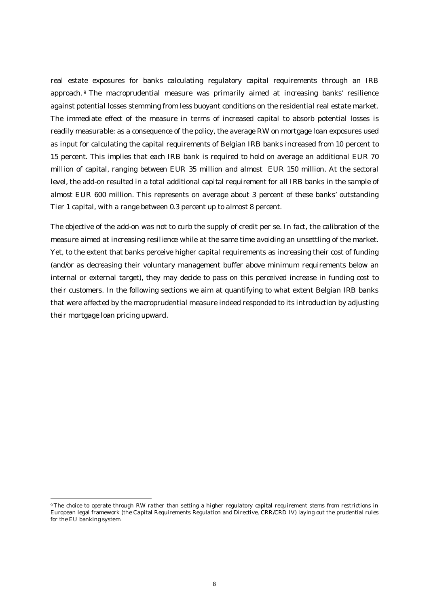real estate exposures for banks calculating regulatory capital requirements through an IRB approach. <sup>9</sup> The macroprudential measure was primarily aimed at increasing banks' resilience against potential losses stemming from less buoyant conditions on the residential real estate market. The immediate effect of the measure in terms of increased capital to absorb potential losses is readily measurable: as a consequence of the policy, the average RW on mortgage loan exposures used as input for calculating the capital requirements of Belgian IRB banks increased from 10 percent to 15 percent. This implies that each IRB bank is required to hold on average an additional EUR 70 million of capital, ranging between EUR 35 million and almost EUR 150 million. At the sectoral level, the add-on resulted in a total additional capital requirement for all IRB banks in the sample of almost EUR 600 million. This represents on average about 3 percent of these banks' outstanding Tier 1 capital, with a range between 0.3 percent up to almost 8 percent.

The objective of the add-on was not to curb the supply of credit per se. In fact, the calibration of the measure aimed at increasing resilience while at the same time avoiding an unsettling of the market. Yet, to the extent that banks perceive higher capital requirements as increasing their cost of funding (and/or as decreasing their voluntary management buffer above minimum requirements below an internal or external target), they may decide to pass on this perceived increase in funding cost to their customers. In the following sections we aim at quantifying to what extent Belgian IRB banks that were affected by the macroprudential measure indeed responded to its introduction by adjusting their mortgage loan pricing upward.

.

<sup>9</sup> The choice to operate through RW rather than setting a higher regulatory capital requirement stems from restrictions in European legal framework (the Capital Requirements Regulation and Directive, CRR/CRD IV) laying out the prudential rules for the EU banking system.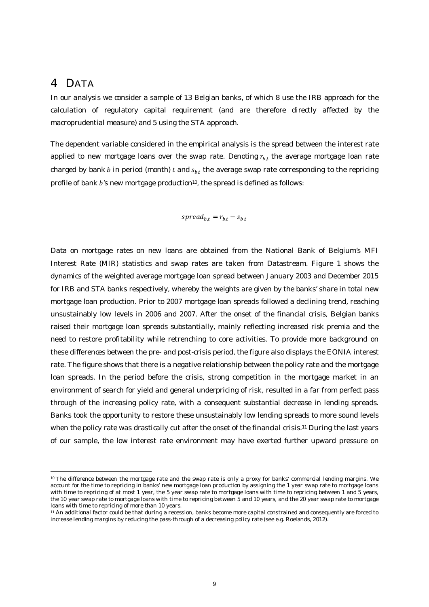## 4 DATA

.

In our analysis we consider a sample of 13 Belgian banks, of which 8 use the IRB approach for the calculation of regulatory capital requirement (and are therefore directly affected by the macroprudential measure) and 5 using the STA approach.

The dependent variable considered in the empirical analysis is the spread between the interest rate applied to new mortgage loans over the swap rate. Denoting  $r_{b,t}$  the average mortgage loan rate charged by bank  $b$  in period (month)  $t$  and  $s_{b,t}$  the average swap rate corresponding to the repricing profile of bank b's new mortgage production<sup>10</sup>, the spread is defined as follows:

$$
spread_{b,t} = r_{b,t} - s_{b,t}
$$

Data on mortgage rates on new loans are obtained from the National Bank of Belgium's MFI Interest Rate (MIR) statistics and swap rates are taken from Datastream. Figure 1 shows the dynamics of the weighted average mortgage loan spread between January 2003 and December 2015 for IRB and STA banks respectively, whereby the weights are given by the banks' share in total new mortgage loan production. Prior to 2007 mortgage loan spreads followed a declining trend, reaching unsustainably low levels in 2006 and 2007. After the onset of the financial crisis, Belgian banks raised their mortgage loan spreads substantially, mainly reflecting increased risk premia and the need to restore profitability while retrenching to core activities. To provide more background on these differences between the pre- and post-crisis period, the figure also displays the EONIA interest rate. The figure shows that there is a negative relationship between the policy rate and the mortgage loan spreads. In the period before the crisis, strong competition in the mortgage market in an environment of search for yield and general underpricing of risk, resulted in a far from perfect pass through of the increasing policy rate, with a consequent substantial decrease in lending spreads. Banks took the opportunity to restore these unsustainably low lending spreads to more sound levels when the policy rate was drastically cut after the onset of the financial crisis.<sup>11</sup> During the last years of our sample, the low interest rate environment may have exerted further upward pressure on

<sup>10</sup> The difference between the mortgage rate and the swap rate is only a proxy for banks' commercial lending margins. We account for the time to repricing in banks' new mortgage loan production by assigning the 1 year swap rate to mortgage loans with time to repricing of at most 1 year, the 5 year swap rate to mortgage loans with time to repricing between 1 and 5 years, the 10 year swap rate to mortgage loans with time to repricing between 5 and 10 years, and the 20 year swap rate to mortgage loans with time to repricing of more than 10 years.

<sup>11</sup> An additional factor could be that during a recession, banks become more capital constrained and consequently are forced to increase lending margins by reducing the pass-through of a decreasing policy rate (see e.g. Roelands, 2012).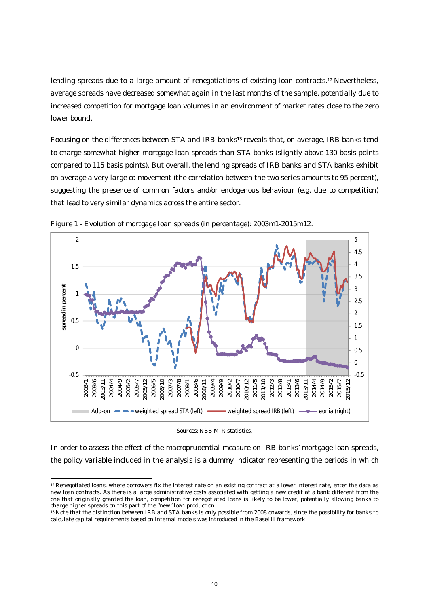lending spreads due to a large amount of renegotiations of existing loan contracts.12 Nevertheless, average spreads have decreased somewhat again in the last months of the sample, potentially due to increased competition for mortgage loan volumes in an environment of market rates close to the zero lower bound.

Focusing on the differences between STA and IRB banks13 reveals that, on average, IRB banks tend to charge somewhat higher mortgage loan spreads than STA banks (slightly above 130 basis points compared to 115 basis points). But overall, the lending spreads of IRB banks and STA banks exhibit on average a very large co-movement (the correlation between the two series amounts to 95 percent), suggesting the presence of common factors and/or endogenous behaviour (e.g. due to competition) that lead to very similar dynamics across the entire sector.



Figure 1 - Evolution of mortgage loan spreads (in percentage): 2003m1-2015m12.

Sources: NBB MIR statistics.

In order to assess the effect of the macroprudential measure on IRB banks' mortgage loan spreads, the policy variable included in the analysis is a dummy indicator representing the periods in which

.

<sup>12</sup> Renegotiated loans, where borrowers fix the interest rate on an existing contract at a lower interest rate, enter the data as new loan contracts. As there is a large administrative costs associated with getting a new credit at a bank different from the one that originally granted the loan, competition for renegotiated loans is likely to be lower, potentially allowing banks to charge higher spreads on this part of the "new" loan production.

<sup>13</sup> Note that the distinction between IRB and STA banks is only possible from 2008 onwards, since the possibility for banks to calculate capital requirements based on internal models was introduced in the Basel II framework.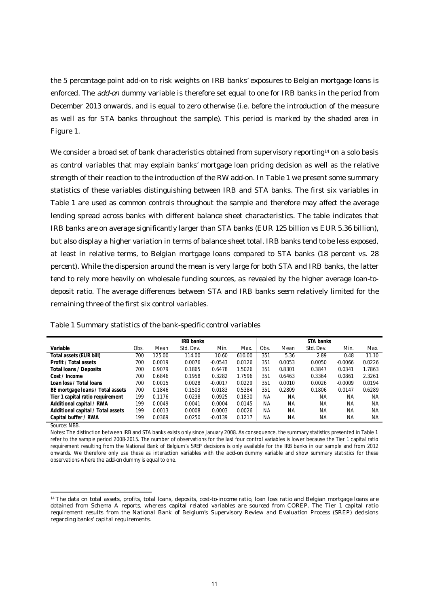the 5 percentage point add-on to risk weights on IRB banks' exposures to Belgian mortgage loans is enforced. The *add-on* dummy variable is therefore set equal to one for IRB banks in the period from December 2013 onwards, and is equal to zero otherwise (i.e. before the introduction of the measure as well as for STA banks throughout the sample). This period is marked by the shaded area in Figure 1.

We consider a broad set of bank characteristics obtained from supervisory reporting<sup>14</sup> on a solo basis as control variables that may explain banks' mortgage loan pricing decision as well as the relative strength of their reaction to the introduction of the RW add-on. In Table 1 we present some summary statistics of these variables distinguishing between IRB and STA banks. The first six variables in Table 1 are used as common controls throughout the sample and therefore may affect the average lending spread across banks with different balance sheet characteristics. The table indicates that IRB banks are on average significantly larger than STA banks (EUR 125 billion vs EUR 5.36 billion), but also display a higher variation in terms of balance sheet total. IRB banks tend to be less exposed, at least in relative terms, to Belgian mortgage loans compared to STA banks (18 percent vs. 28 percent). While the dispersion around the mean is very large for both STA and IRB banks, the latter tend to rely more heavily on wholesale funding sources, as revealed by the higher average loan-todeposit ratio. The average differences between STA and IRB banks seem relatively limited for the remaining three of the first six control variables.

|                                   |      |        | <b>IRB</b> banks |           |        |           |           | STA banks |           |        |
|-----------------------------------|------|--------|------------------|-----------|--------|-----------|-----------|-----------|-----------|--------|
| Variable                          | Obs. | Mean   | Std. Dev.        | Min.      | Max.   | Obs.      | Mean      | Std. Dev. | Min.      | Max.   |
| Total assets (EUR bill)           | 700  | 125.00 | 114.00           | 10.60     | 610.00 | 351       | 5.36      | 2.89      | 0.48      | 11.10  |
| Profit / Total assets             | 700  | 0.0019 | 0.0076           | $-0.0543$ | 0.0126 | 351       | 0.0053    | 0.0050    | $-0.0066$ | 0.0226 |
| Total Ioans / Deposits            | 700  | 0.9079 | 0.1865           | 0.6478    | 1.5026 | 351       | 0.8301    | 0.3847    | 0.0341    | 1.7863 |
| Cost / Income                     | 700  | 0.6846 | 0.1958           | 0.3282    | 1.7596 | 351       | 0.6463    | 0.3364    | 0.0861    | 2.3261 |
| Loan loss / Total loans           | 700  | 0.0015 | 0.0028           | $-0.0017$ | 0.0229 | 351       | 0.0010    | 0.0026    | $-0.0009$ | 0.0194 |
| BE mortgage loans / Total assets  | 700  | 0.1846 | 0.1503           | 0.0183    | 0.5384 | 351       | 0.2809    | 0.1806    | 0.0147    | 0.6289 |
| Tier 1 capital ratio requirement  | 199  | 0.1176 | 0.0238           | 0.0925    | 0.1830 | <b>NA</b> | <b>NA</b> | <b>NA</b> | <b>NA</b> | ΝA     |
| Additional capital / RWA          | 199  | 0.0049 | 0.0041           | 0.0004    | 0.0145 | <b>NA</b> | <b>NA</b> | <b>NA</b> | <b>NA</b> | ΝA     |
| Additional capital / Total assets | 199  | 0.0013 | 0.0008           | 0.0003    | 0.0026 | ΝA        | <b>NA</b> | <b>NA</b> | <b>NA</b> | ΝA     |
| Capital buffer / RWA              | 199  | 0.0369 | 0.0250           | $-0.0139$ | 0.1217 | ΝA        | ΝA        | ΝA        | ΝA        | ΝA     |

Table 1 Summary statistics of the bank-specific control variables

Source: NBB.

.

Notes: The distinction between IRB and STA banks exists only since January 2008. As consequence, the summary statistics presented in Table 1 refer to the sample period 2008-2015. The number of observations for the last four control variables is lower because the Tier 1 capital ratio requirement resulting from the National Bank of Belgium's SREP decisions is only available for the IRB banks in our sample and from 2012 onwards. We therefore only use these as interaction variables with the *add-on* dummy variable and show summary statistics for these observations where the *add-on* dummy is equal to one.

<sup>14</sup> The data on total assets, profits, total loans, deposits, cost-to-income ratio, loan loss ratio and Belgian mortgage loans are obtained from Schema A reports, whereas capital related variables are sourced from COREP. The Tier 1 capital ratio requirement results from the National Bank of Belgium's Supervisory Review and Evaluation Process (SREP) decisions regarding banks' capital requirements.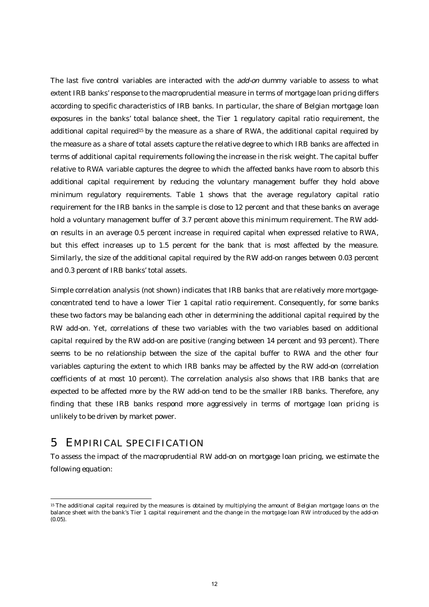The last five control variables are interacted with the *add-on* dummy variable to assess to what extent IRB banks' response to the macroprudential measure in terms of mortgage loan pricing differs according to specific characteristics of IRB banks. In particular, the share of Belgian mortgage loan exposures in the banks' total balance sheet, the Tier 1 regulatory capital ratio requirement, the additional capital required<sup>15</sup> by the measure as a share of RWA, the additional capital required by the measure as a share of total assets capture the relative degree to which IRB banks are affected in terms of additional capital requirements following the increase in the risk weight. The capital buffer relative to RWA variable captures the degree to which the affected banks have room to absorb this additional capital requirement by reducing the voluntary management buffer they hold above minimum regulatory requirements. Table 1 shows that the average regulatory capital ratio requirement for the IRB banks in the sample is close to 12 percent and that these banks on average hold a voluntary management buffer of 3.7 percent above this minimum requirement. The RW addon results in an average 0.5 percent increase in required capital when expressed relative to RWA, but this effect increases up to 1.5 percent for the bank that is most affected by the measure. Similarly, the size of the additional capital required by the RW add-on ranges between 0.03 percent and 0.3 percent of IRB banks' total assets.

Simple correlation analysis (not shown) indicates that IRB banks that are relatively more mortgageconcentrated tend to have a lower Tier 1 capital ratio requirement. Consequently, for some banks these two factors may be balancing each other in determining the additional capital required by the RW add-on. Yet, correlations of these two variables with the two variables based on additional capital required by the RW add-on are positive (ranging between 14 percent and 93 percent). There seems to be no relationship between the size of the capital buffer to RWA and the other four variables capturing the extent to which IRB banks may be affected by the RW add-on (correlation coefficients of at most 10 percent). The correlation analysis also shows that IRB banks that are expected to be affected more by the RW add-on tend to be the smaller IRB banks. Therefore, any finding that these IRB banks respond more aggressively in terms of mortgage loan pricing is unlikely to be driven by market power.

## 5 EMPIRICAL SPECIFICATION

.

To assess the impact of the macroprudential RW add-on on mortgage loan pricing, we estimate the following equation:

<sup>15</sup> The additional capital required by the measures is obtained by multiplying the amount of Belgian mortgage loans on the balance sheet with the bank's Tier 1 capital requirement and the change in the mortgage loan RW introduced by the add-on (0.05).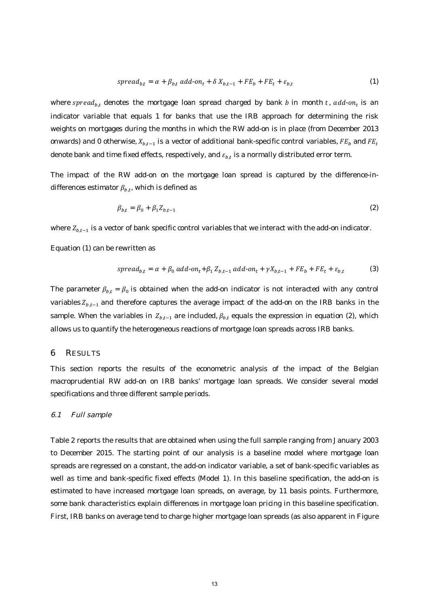$$
spread_{b,t} = \alpha + \beta_{b,t} \ add \cdot on_t + \delta X_{b,t-1} + FE_b + FE_t + \varepsilon_{b,t} \tag{1}
$$

where spread<sub>b</sub>, denotes the mortgage loan spread charged by bank b in month t, add-on<sub>t</sub> is an indicator variable that equals 1 for banks that use the IRB approach for determining the risk weights on mortgages during the months in which the RW add-on is in place (from December 2013 onwards) and 0 otherwise,  $X_{b,t-1}$  is a vector of additional bank-specific control variables,  $FE_b$  and  $FE_t$ denote bank and time fixed effects, respectively, and  $\varepsilon_{b,t}$  is a normally distributed error term.

The impact of the RW add-on on the mortgage loan spread is captured by the difference-indifferences estimator  $\beta_{b,t}$ , which is defined as

$$
\beta_{b,t} = \beta_0 + \beta_1 Z_{b,t-1} \tag{2}
$$

where  $Z_{b,t-1}$  is a vector of bank specific control variables that we interact with the add-on indicator.

Equation (1) can be rewritten as

$$
spread_{b,t} = \alpha + \beta_0 \, add \cdot on_t + \beta_1 \, Z_{b,t-1} \, add \cdot on_t + \gamma X_{b,t-1} + FE_b + FE_t + \varepsilon_{b,t} \tag{3}
$$

The parameter  $\beta_{b,t} = \beta_0$  is obtained when the add-on indicator is not interacted with any control variables  $Z_{b,t-1}$  and therefore captures the average impact of the add-on on the IRB banks in the sample. When the variables in  $Z_{b,t-1}$  are included,  $\beta_{b,t}$  equals the expression in equation (2), which allows us to quantify the heterogeneous reactions of mortgage loan spreads across IRB banks.

#### 6 RESULTS

This section reports the results of the econometric analysis of the impact of the Belgian macroprudential RW add-on on IRB banks' mortgage loan spreads. We consider several model specifications and three different sample periods.

#### 6.1 Full sample

Table 2 reports the results that are obtained when using the full sample ranging from January 2003 to December 2015. The starting point of our analysis is a baseline model where mortgage loan spreads are regressed on a constant, the add-on indicator variable, a set of bank-specific variables as well as time and bank-specific fixed effects (Model 1). In this baseline specification, the add-on is estimated to have increased mortgage loan spreads, on average, by 11 basis points. Furthermore, some bank characteristics explain differences in mortgage loan pricing in this baseline specification. First, IRB banks on average tend to charge higher mortgage loan spreads (as also apparent in Figure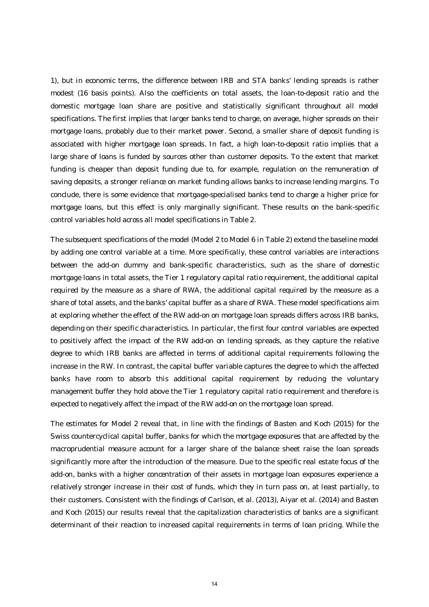1), but in economic terms, the difference between IRB and STA banks' lending spreads is rather modest (16 basis points). Also the coefficients on total assets, the loan-to-deposit ratio and the domestic mortgage loan share are positive and statistically significant throughout all model specifications. The first implies that larger banks tend to charge, on average, higher spreads on their mortgage loans, probably due to their market power. Second, a smaller share of deposit funding is associated with higher mortgage loan spreads. In fact, a high loan-to-deposit ratio implies that a large share of loans is funded by sources other than customer deposits. To the extent that market funding is cheaper than deposit funding due to, for example, regulation on the remuneration of saving deposits, a stronger reliance on market funding allows banks to increase lending margins. To conclude, there is some evidence that mortgage-specialised banks tend to charge a higher price for mortgage loans, but this effect is only marginally significant. These results on the bank-specific control variables hold across all model specifications in Table 2.

The subsequent specifications of the model (Model 2 to Model 6 in Table 2) extend the baseline model by adding one control variable at a time. More specifically, these control variables are interactions between the add-on dummy and bank-specific characteristics, such as the share of domestic mortgage loans in total assets, the Tier 1 regulatory capital ratio requirement, the additional capital required by the measure as a share of RWA, the additional capital required by the measure as a share of total assets, and the banks' capital buffer as a share of RWA. These model specifications aim at exploring whether the effect of the RW add-on on mortgage loan spreads differs across IRB banks, depending on their specific characteristics. In particular, the first four control variables are expected to positively affect the impact of the RW add-on on lending spreads, as they capture the relative degree to which IRB banks are affected in terms of additional capital requirements following the increase in the RW. In contrast, the capital buffer variable captures the degree to which the affected banks have room to absorb this additional capital requirement by reducing the voluntary management buffer they hold above the Tier 1 regulatory capital ratio requirement and therefore is expected to negatively affect the impact of the RW add-on on the mortgage loan spread.

The estimates for Model 2 reveal that, in line with the findings of Basten and Koch (2015) for the Swiss countercyclical capital buffer, banks for which the mortgage exposures that are affected by the macroprudential measure account for a larger share of the balance sheet raise the loan spreads significantly more after the introduction of the measure. Due to the specific real estate focus of the add-on, banks with a higher concentration of their assets in mortgage loan exposures experience a relatively stronger increase in their cost of funds, which they in turn pass on, at least partially, to their customers. Consistent with the findings of Carlson, et al. (2013), Aiyar et al. (2014) and Basten and Koch (2015) our results reveal that the capitalization characteristics of banks are a significant determinant of their reaction to increased capital requirements in terms of loan pricing. While the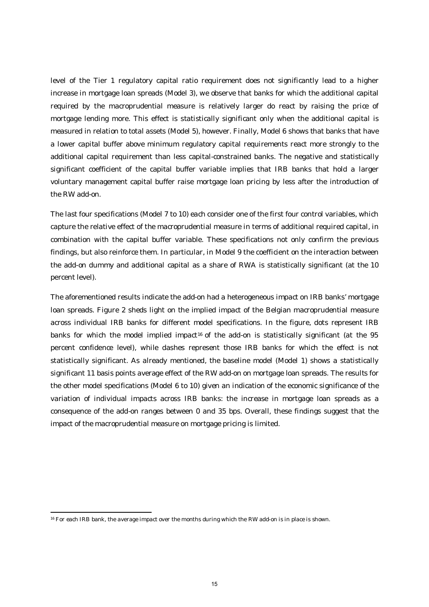level of the Tier 1 regulatory capital ratio requirement does not significantly lead to a higher increase in mortgage loan spreads (Model 3), we observe that banks for which the additional capital required by the macroprudential measure is relatively larger do react by raising the price of mortgage lending more. This effect is statistically significant only when the additional capital is measured in relation to total assets (Model 5), however. Finally, Model 6 shows that banks that have a lower capital buffer above minimum regulatory capital requirements react more strongly to the additional capital requirement than less capital-constrained banks. The negative and statistically significant coefficient of the capital buffer variable implies that IRB banks that hold a larger voluntary management capital buffer raise mortgage loan pricing by less after the introduction of the RW add-on.

The last four specifications (Model 7 to 10) each consider one of the first four control variables, which capture the relative effect of the macroprudential measure in terms of additional required capital, in combination with the capital buffer variable. These specifications not only confirm the previous findings, but also reinforce them. In particular, in Model 9 the coefficient on the interaction between the add-on dummy and additional capital as a share of RWA is statistically significant (at the 10 percent level).

The aforementioned results indicate the add-on had a heterogeneous impact on IRB banks' mortgage loan spreads. Figure 2 sheds light on the implied impact of the Belgian macroprudential measure across individual IRB banks for different model specifications. In the figure, dots represent IRB banks for which the model implied impact<sup>16</sup> of the add-on is statistically significant (at the 95 percent confidence level), while dashes represent those IRB banks for which the effect is not statistically significant. As already mentioned, the baseline model (Model 1) shows a statistically significant 11 basis points average effect of the RW add-on on mortgage loan spreads. The results for the other model specifications (Model 6 to 10) given an indication of the economic significance of the variation of individual impacts across IRB banks: the increase in mortgage loan spreads as a consequence of the add-on ranges between 0 and 35 bps. Overall, these findings suggest that the impact of the macroprudential measure on mortgage pricing is limited.

1

<sup>&</sup>lt;sup>16</sup> For each IRB bank, the average impact over the months during which the RW add-on is in place is shown.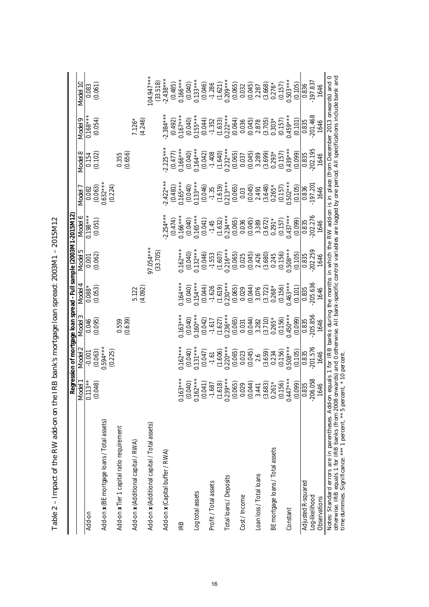|                                              | Model 1                                                                                                                             | Vlodel <sub>2</sub>              | Model 3               | Model 4    | Model 5                 | Model 6    | Model <sup>®</sup>               | Model 8               | Vlodel 9                | Model 10                |
|----------------------------------------------|-------------------------------------------------------------------------------------------------------------------------------------|----------------------------------|-----------------------|------------|-------------------------|------------|----------------------------------|-----------------------|-------------------------|-------------------------|
| Add-on                                       | $13**$<br>0.11                                                                                                                      | $-0.001$                         | 0.046                 | $0.088*$   | 0.001                   | $0.198***$ | 0.082                            | 0.154                 | $0.168***$              | 0.083                   |
| Add-on x (BE mortgage loans / Total assets)  | (0.048)                                                                                                                             | $0.594***$<br>(0.063)<br>(0.225) | (0.095)               | (0.053)    | (0.062)                 | (0.051)    | $0.632***$<br>(0.224)<br>(0.063) | (0.102)               | (0.054)                 | (0.061)                 |
| Add-on x Tier 1 capital ratio requirement    |                                                                                                                                     |                                  | (0.639)<br>0.559      |            |                         |            |                                  | (0.656)<br>0.355      |                         |                         |
| Add-on x (Additional capital / RWA)          |                                                                                                                                     |                                  |                       | 5.122      |                         |            |                                  |                       | $7.126*$                |                         |
|                                              |                                                                                                                                     |                                  |                       | (4.092)    |                         |            |                                  |                       | (4.246)                 |                         |
| Add-on x (Additional capital / Total assets) |                                                                                                                                     |                                  |                       |            | $77.054***$<br>(33.705) |            |                                  |                       |                         | $04.947***$<br>(33.518) |
| Add-on x (Capital buffer / RWA)              |                                                                                                                                     |                                  |                       |            |                         | $2.254***$ | $2.422***$                       | $2.225***$            | $2.384***$              | $2.438***$              |
|                                              |                                                                                                                                     |                                  |                       |            |                         | (0.474)    | $(0.481)$<br>$0.165***$          | $(0.477)$<br>0.166*** | $(0.492)$<br>$0.167***$ | $(0.485)$<br>$0.166***$ |
| IRB                                          | $3**$<br>0.16                                                                                                                       | $0.162***$                       | $0.163***$            | $0.164***$ | $0.162***$              | $0.166***$ |                                  |                       |                         |                         |
|                                              | $(0.040)$<br>0.162***                                                                                                               | (0.040)                          | (0.040)               | (0.040)    | $(0.040)$<br>$0.132***$ | (0.040)    | $(0.040)$<br>$0.133***$          | (0.040)               | $(0.040)$<br>$0.155***$ | $(0.040)$<br>0.133***   |
| Log total assets                             |                                                                                                                                     | $0.131***$                       | $0.160***$            | $0.154***$ |                         | $0.165**$  |                                  | $0.164***$            |                         |                         |
|                                              |                                                                                                                                     | (0.047)                          | (0.042)               | (0.044)    | (0.046)                 | (0.041)    | (0.046)                          | (0.042)               | (0.044)                 | (0.046)                 |
| Profit / Total assets                        |                                                                                                                                     | $-1.61$                          | $-1.617$              | $-1.626$   | $-1.553$                | $-1.45$    | $-1.35$                          | $-1.408$              | $-1.352$                | $-1.286$                |
|                                              |                                                                                                                                     | (1.606)                          | $(1.627)$<br>0.236*** | (1.619)    | $(1.607)$<br>0.216***   | (1.632)    | $(1.619)$<br>0.213***            | (1.640)               | $(1.633)$<br>$0.222***$ | (1.621)                 |
| Total loans / Deposits                       |                                                                                                                                     | $0.220***$                       |                       | $0.230***$ |                         | $0.234***$ |                                  | $0.232***$            |                         | $0.209***$              |
|                                              | $(0.041)$ $(1.687)$ $(1.618)$ $(1.618)$ $(0.23***)$ $(0.065)$ $(0.065)$ $(0.044)$ $(0.044)$ $(0.044)$ $(0.044)$ $(0.044)$ $(0.156)$ | (0.065)                          | (0.065)               | (0.065)    | (0.065)                 | (0.065)    | (0.065)                          | (0.065)               | (0.064)                 | (0.065)                 |
| Cost / Income                                |                                                                                                                                     | 0.023                            | 0.031                 | 0.029      | 0.025                   | 0.036      | 0.03                             | 0.037                 | 0.036                   | 0.032                   |
|                                              |                                                                                                                                     | (0.045)                          | (0.044)               | (0.044)    | (0.045)                 | (0.045)    | (0.045)                          | (0.045)               | (0.045)                 | (0.045)                 |
| Loan loss / Total loans                      |                                                                                                                                     | 2.6                              | 3.282                 | 3.076      | 2.426                   | 3.389      | 2.491                            | 3.289                 | 2.878                   | 2.287                   |
|                                              |                                                                                                                                     | (3.659)                          | (3.710)               | (3.722)    | (3.680)                 | (3.672)    | (3.648)                          | (3.699)               | (3.705)                 | (3.668)                 |
| BE mortgage loans / Total assets             |                                                                                                                                     | 0.234                            | $0.265*$              | $0.268*$   | 0.245                   | $0.291*$   | $0.265*$                         | $0.293*$              | $0.303*$                | $0.276*$                |
|                                              |                                                                                                                                     | (0.156)                          | (0.156)               | (0.156)    | (0.156)                 | (0.157)    | (0.157)                          | (0.157)               | $(0.157)$<br>$0.459***$ | (0.157)                 |
| Constant                                     | $7***$                                                                                                                              | $0.508***$                       | $0.450***$            | $0.463***$ | $0.508***$              | $0.437***$ | $0.502***$                       | $0.439***$            |                         | $0.503***$              |
|                                              | $\frac{(0.099)}{0.835}$                                                                                                             | (0.105)                          | (0.099)               | (0.101)    | (0.105)                 | (0.099)    | (0.105)                          | (0.099)               | (0.101)                 | (0.105)                 |
| Adjusted R-squared                           |                                                                                                                                     | 0.835                            | 0.835                 | 0.835      | 0.835                   | 0.835      | 0.836                            | 0.835                 | 0.835                   | 0.836                   |
| Log-likelihood                               | $-206.058$                                                                                                                          | 201.576                          | 205.856               | 205.636    | 202.259                 | 202.276    | 197.201                          | 202.195               | $-201.468$              | 197.837                 |
| Observations                                 | 1646                                                                                                                                | 1646                             | 1646                  | 1646       | 1646                    | 1646       | 1646                             | 1646                  | 1646                    | 1646                    |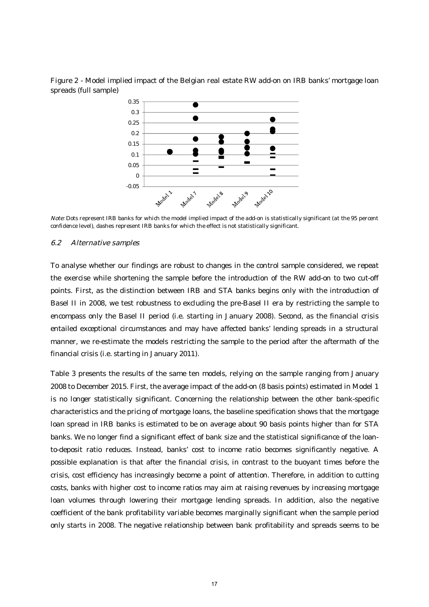Figure 2 - Model implied impact of the Belgian real estate RW add-on on IRB banks' mortgage loan spreads (full sample)



Note: Dots represent IRB banks for which the model implied impact of the add-on is statistically significant (at the 95 percent confidence level), dashes represent IRB banks for which the effect is not statistically significant.

#### 6.2 Alternative samples

To analyse whether our findings are robust to changes in the control sample considered, we repeat the exercise while shortening the sample before the introduction of the RW add-on to two cut-off points. First, as the distinction between IRB and STA banks begins only with the introduction of Basel II in 2008, we test robustness to excluding the pre-Basel II era by restricting the sample to encompass only the Basel II period (i.e. starting in January 2008). Second, as the financial crisis entailed exceptional circumstances and may have affected banks' lending spreads in a structural manner, we re-estimate the models restricting the sample to the period after the aftermath of the financial crisis (i.e. starting in January 2011).

Table 3 presents the results of the same ten models, relying on the sample ranging from January 2008 to December 2015. First, the average impact of the add-on (8 basis points) estimated in Model 1 is no longer statistically significant. Concerning the relationship between the other bank-specific characteristics and the pricing of mortgage loans, the baseline specification shows that the mortgage loan spread in IRB banks is estimated to be on average about 90 basis points higher than for STA banks. We no longer find a significant effect of bank size and the statistical significance of the loanto-deposit ratio reduces. Instead, banks' cost to income ratio becomes significantly negative. A possible explanation is that after the financial crisis, in contrast to the buoyant times before the crisis, cost efficiency has increasingly become a point of attention. Therefore, in addition to cutting costs, banks with higher cost to income ratios may aim at raising revenues by increasing mortgage loan volumes through lowering their mortgage lending spreads. In addition, also the negative coefficient of the bank profitability variable becomes marginally significant when the sample period only starts in 2008. The negative relationship between bank profitability and spreads seems to be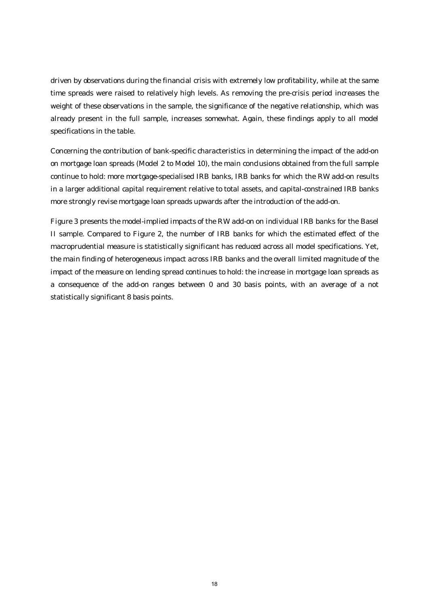driven by observations during the financial crisis with extremely low profitability, while at the same time spreads were raised to relatively high levels. As removing the pre-crisis period increases the weight of these observations in the sample, the significance of the negative relationship, which was already present in the full sample, increases somewhat. Again, these findings apply to all model specifications in the table.

Concerning the contribution of bank-specific characteristics in determining the impact of the add-on on mortgage loan spreads (Model 2 to Model 10), the main conclusions obtained from the full sample continue to hold: more mortgage-specialised IRB banks, IRB banks for which the RW add-on results in a larger additional capital requirement relative to total assets, and capital-constrained IRB banks more strongly revise mortgage loan spreads upwards after the introduction of the add-on.

Figure 3 presents the model-implied impacts of the RW add-on on individual IRB banks for the Basel II sample. Compared to Figure 2, the number of IRB banks for which the estimated effect of the macroprudential measure is statistically significant has reduced across all model specifications. Yet, the main finding of heterogeneous impact across IRB banks and the overall limited magnitude of the impact of the measure on lending spread continues to hold: the increase in mortgage loan spreads as a consequence of the add-on ranges between 0 and 30 basis points, with an average of a not statistically significant 8 basis points.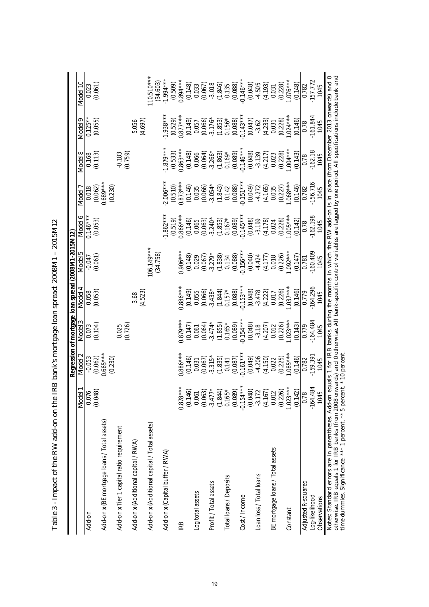|                                                                                                                                                                                                                                                                                                            |                      |                                    |                        |                       | Regression of mortgage loan spread (2008M1-2015M12) |                                                                                                                |                        |                         |                         |                         |
|------------------------------------------------------------------------------------------------------------------------------------------------------------------------------------------------------------------------------------------------------------------------------------------------------------|----------------------|------------------------------------|------------------------|-----------------------|-----------------------------------------------------|----------------------------------------------------------------------------------------------------------------|------------------------|-------------------------|-------------------------|-------------------------|
|                                                                                                                                                                                                                                                                                                            | Model                | Model 2                            | Model 3                | Model 4               | Model 5                                             | Model 6                                                                                                        | Model 7                | Vlodel 8                | Vlodel 9                | Model 10                |
| Add-on                                                                                                                                                                                                                                                                                                     | (0.048)<br>0.076     | $-0.053$                           | (0.104)<br>0.073       | (0.053)<br>0.058      | (0.061)<br>$-0.047$                                 | $0.146***$<br>(0.053)                                                                                          | (0.062)<br>0.018       | (0.113)<br>0.168        | (0.055)<br>$0.125**$    | (0.061)<br>0.023        |
| Add-on x (BE mortgage loans / Total assets)                                                                                                                                                                                                                                                                |                      | $(0.062)$<br>$0.665***$<br>(0.230) |                        |                       |                                                     |                                                                                                                | $0.689***$<br>(0.230)  |                         |                         |                         |
| Add-on x Tier 1 capital ratio requirement                                                                                                                                                                                                                                                                  |                      |                                    | (0.726)<br>0.025       |                       |                                                     |                                                                                                                |                        | (0.759)<br>$-0.183$     |                         |                         |
| Add-on x (Additional capital / RWA)                                                                                                                                                                                                                                                                        |                      |                                    |                        | (4.523)<br>3.68       |                                                     |                                                                                                                |                        |                         | 5.056<br>(4.697)        |                         |
| Add-on x (Additional capital / Total assets)                                                                                                                                                                                                                                                               |                      |                                    |                        |                       | $06.149***$<br>(34.758)                             |                                                                                                                |                        |                         |                         | $10.510**$              |
| Add-on x (Capital buffer / RWA)                                                                                                                                                                                                                                                                            |                      |                                    |                        |                       |                                                     | $1.862***$<br>(0.519)                                                                                          | $2.006***$<br>(0.510)  | $1.879***$              | $1.938**$               | $(34.603)$<br>1.994 *** |
| IRB                                                                                                                                                                                                                                                                                                        | $0.878**$            | $0.886***$                         | $0.879***$             | $0.886***$            | $0.906***$                                          | $0.866***$                                                                                                     | $0.873***$             | $(0.533)$<br>$0.863***$ | $(0.529)$<br>$0.877***$ | $(0.509)$<br>$0.894***$ |
|                                                                                                                                                                                                                                                                                                            | (0.146)              | (0.146)                            | (0.147)                | (0.149)               | (0.148)                                             | (0.146)                                                                                                        | (0.146)                | (0.148)                 | $(0.149)$<br>0.057      | (0.148)                 |
| Log total assets                                                                                                                                                                                                                                                                                           | 0.061                | 0.031                              | 0.061                  | 0.055                 | 0.029                                               | 0.065                                                                                                          | 0.035                  | 0.066                   |                         | 0.033                   |
| Profit / Total assets                                                                                                                                                                                                                                                                                      | (0.063)<br>$-3.477$  | (0.067)<br>$-3.315$ <sup>*</sup>   | (0.064)<br>$3.474*$    | $-3.438*$<br>(0.066)  | (0.067)<br>$-3.279*$                                | $-3.240*$<br>(0.063)                                                                                           | $-3.054*$<br>(0.066)   | $-3.266*$<br>(0.064)    | $-3.176*$<br>(0.066)    | $-3.018$<br>(0.067)     |
|                                                                                                                                                                                                                                                                                                            | (1.844)              | (1.835)                            | (1.855)                | (1.844)               | (1.838)                                             |                                                                                                                | (1.843)                | (1.863)                 |                         | (1.846)                 |
| Total loans / Deposits                                                                                                                                                                                                                                                                                     | $0.165$ <sup>+</sup> | 0.141                              | $0.165*$               | $0.157*$              | 0.134                                               | $(1.853)$<br>0.167*                                                                                            | 0.142                  | $0.169*$                | $(1.853)$<br>0.156*     | 0.135                   |
|                                                                                                                                                                                                                                                                                                            | (0.089)              | (0.087)                            | (0.089)                | (0.088)               | (0.088)                                             | (0.089)                                                                                                        | (0.088)                | (0.089)                 | (0.088)                 | (0.088)                 |
| Cost / Income                                                                                                                                                                                                                                                                                              | $-0.154*$<br>(0.048) | $0.161***$<br>(0.049)              | $-0.154***$<br>(0.048) | $0.153***$<br>(0.048) | $0.156**$<br>(0.048)                                | $-0.145***$<br>(0.048)                                                                                         | $-0.151***$<br>(0.049) | $0.146**$<br>(0.048)    | $0.143***$<br>(0.047)   | $0.146***$<br>(0.048)   |
| Loan loss / Total loans                                                                                                                                                                                                                                                                                    | $-3.172$             | $-4.206$                           | $-3.18$                | $-3.478$              | $-4.424$                                            | $-3.199$                                                                                                       | $-4.272$               | $-3.139$                | $-3.62$                 | $-4.505$                |
|                                                                                                                                                                                                                                                                                                            | (4.167)              | (4.150)                            | (4.207)                | $(4.222)$<br>0.017    | (4.177)                                             | (4.178)                                                                                                        | (4.165)                | (4.217)                 | (4.233)                 | (4.193)                 |
| BE mortgage loans / Total assets                                                                                                                                                                                                                                                                           | 0.012                | 0.022                              | 0.012                  |                       | 0.018                                               | 0.024                                                                                                          | 0.035                  | 0.023                   | 0.031                   | 0.031                   |
|                                                                                                                                                                                                                                                                                                            | (0.226)              | (0.225)                            | (0.226)                | (0.226)               | (0.226)                                             | (0.228)                                                                                                        | (0.227)                | (0.228)                 | (0.228)                 | (0.228)                 |
| Constant                                                                                                                                                                                                                                                                                                   | $1.023**$            | $1.085***$                         | $.023***$              | $1.037***$            | $1.092***$                                          | $005***$                                                                                                       | $.068***$              | $.004***$               | $1.024***$              | $1.076***$              |
|                                                                                                                                                                                                                                                                                                            | (0.142)              | (0.146)                            | (0.143)                | (0.146)               | (0.147)                                             | (0.142)                                                                                                        | (0.146)                | (0.143)                 | (0.146)                 | (0.148)                 |
| Adjusted R-squared                                                                                                                                                                                                                                                                                         | 0.78                 | 0.782                              | 0.779                  | 0.779                 | 0.781                                               | 0.78                                                                                                           | 0.782                  | 0.78                    | 0.78                    | 0.782                   |
| Log-likelihood                                                                                                                                                                                                                                                                                             | $-164.484$           | $-159.391$                         | 164.484                | 164.296               | 160.409                                             | $-162.198$                                                                                                     | 156.716                | $-162.18$               | $-161.844$              | 157.772                 |
| Observations                                                                                                                                                                                                                                                                                               | 1045                 | 1045                               | 1045                   | 1045                  | 1045                                                | 1045                                                                                                           | 1045                   | 1045                    | 1045                    | 1045                    |
| otherwise. IRB equals 1 for IRB banks (from 2008 onwards) and 0 otherwise. All bank-specific control variables are lagged by one period. All specifications include bank and<br>time dummies. Significance: *** 1 percent, ** 5 percent, * 10 percent<br>Notes: Standard errors are in parentheses. Add-on |                      |                                    |                        |                       |                                                     | equals 1 for IRB banks during the months in which the RW add-on is in place (from December 2013 onwards) and 0 |                        |                         |                         |                         |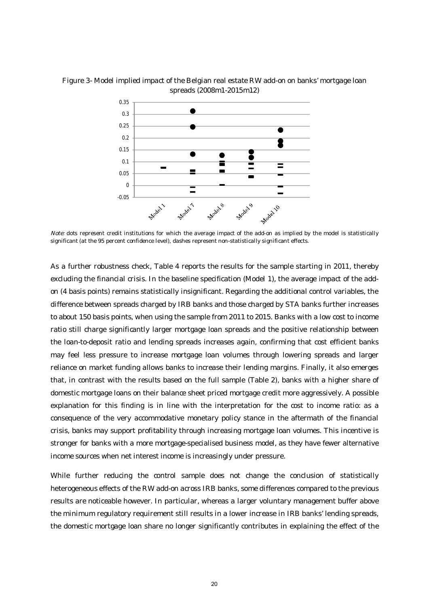



Note: dots represent credit institutions for which the average impact of the add-on as implied by the model is statistically significant (at the 95 percent confidence level), dashes represent non-statistically significant effects.

As a further robustness check, Table 4 reports the results for the sample starting in 2011, thereby excluding the financial crisis. In the baseline specification (Model 1), the average impact of the addon (4 basis points) remains statistically insignificant. Regarding the additional control variables, the difference between spreads charged by IRB banks and those charged by STA banks further increases to about 150 basis points, when using the sample from 2011 to 2015. Banks with a low cost to income ratio still charge significantly larger mortgage loan spreads and the positive relationship between the loan-to-deposit ratio and lending spreads increases again, confirming that cost efficient banks may feel less pressure to increase mortgage loan volumes through lowering spreads and larger reliance on market funding allows banks to increase their lending margins. Finally, it also emerges that, in contrast with the results based on the full sample (Table 2), banks with a higher share of domestic mortgage loans on their balance sheet priced mortgage credit more aggressively. A possible explanation for this finding is in line with the interpretation for the cost to income ratio: as a consequence of the very accommodative monetary policy stance in the aftermath of the financial crisis, banks may support profitability through increasing mortgage loan volumes. This incentive is stronger for banks with a more mortgage-specialised business model, as they have fewer alternative income sources when net interest income is increasingly under pressure.

While further reducing the control sample does not change the conclusion of statistically heterogeneous effects of the RW add-on across IRB banks, some differences compared to the previous results are noticeable however. In particular, whereas a larger voluntary management buffer above the minimum regulatory requirement still results in a lower increase in IRB banks' lending spreads, the domestic mortgage loan share no longer significantly contributes in explaining the effect of the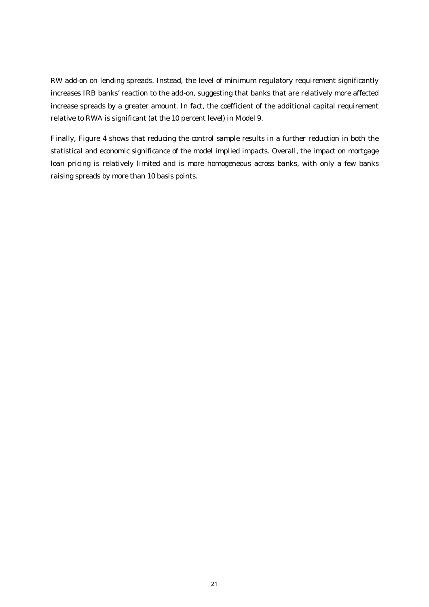RW add-on on lending spreads. Instead, the level of minimum regulatory requirement significantly increases IRB banks' reaction to the add-on, suggesting that banks that are relatively more affected increase spreads by a greater amount. In fact, the coefficient of the additional capital requirement relative to RWA is significant (at the 10 percent level) in Model 9.

Finally, Figure 4 shows that reducing the control sample results in a further reduction in both the statistical and economic significance of the model implied impacts. Overall, the impact on mortgage loan pricing is relatively limited and is more homogeneous across banks, with only a few banks raising spreads by more than 10 basis points.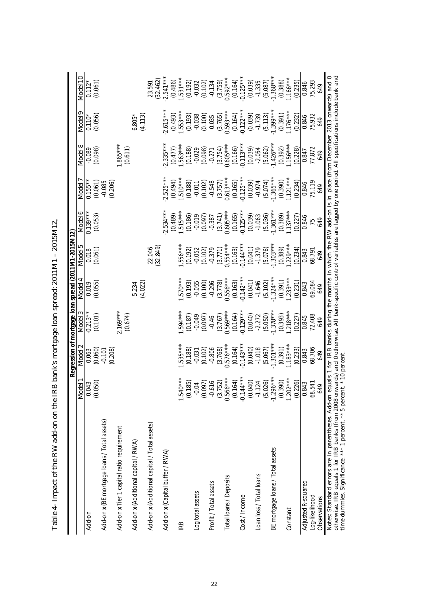| $2.169***$<br>$.594***$<br>$0.129***$<br>$-0.213**$<br>$0.569***$<br>(0.101)<br>(0.674)<br>(0.164)<br>(0.040)<br>(0.187)<br>$-0.049$<br>(0.097)<br>$-2.272$<br>(3.767)<br>$-0.46$<br>$535***$<br>$0.576***$<br>$0.143**$<br>(0.060)<br>(3.768)<br>(0.164)<br>(0.040)<br>(0.188)<br>(0.102)<br>$-1.018$<br>(0.208)<br>$-0.806$<br>0.063<br>$-0.101$<br>$-0.031$<br>$\begin{array}{l} (3.752) \\ 0.566*** \\ (0.164) \\ 0.144*** \\ (0.040) \\ (0.040) \\ (0.040) \\ (0.026) \\ (0.264) \\ (0.276) \\ (0.280) \\ (0.280) \\ (0.226) \\ (0.226) \\ (0.226) \\ (0.226) \\ (0.236) \\ (0.243) \\ (0.25) \\ (0.26) \\ (0.27) \\ (0.28) \\ (0.28) \\ (0.29) \\ (0.20) \\ (0.20) \\ (0.20) \\ (0.20)$<br>$0***$<br>(0.050)<br>(185)<br>(0.097)<br>616<br>0.043<br>$-0.04$<br>1.54<br>$\overline{Q}$<br>Add-on x (BE mortgage loans / Total assets)<br>Add-on x (Additional capital / Total assets)<br>Add-on x Tier 1 capital ratio requirement<br>Add-on x (Additional capital / RWA)<br>Add-on x (Capital buffer / RWA)<br>Loan loss / Total loans<br>Total loans / Deposits<br>Profit / Total assets<br>Log total assets<br>Cost/Income<br>Add-on<br><b>IRB</b> | $.570***$<br>(0.100)<br>(0.055)<br>(0.193)<br>(4.022)<br>$-0.055$<br>$-0.296$<br>0.019<br>5.234 | $.556***$<br>(32.849)<br>22.046<br>(0.061)<br>(0.192)<br>(0.102)<br>0.018<br>$-0.052$ | $2.534***$<br>$0.139***$<br>$.515***$<br>(0.489)<br>(0.053)<br>(0.186) | $2.525***$<br>$0.155**$<br>$-0.085$<br>(0.061)<br>(0.206) | $.865***$<br>$-0.089$<br>(0.098) | (0.056)<br>$0.110*$      | (0.061)<br>$0.112*$     |
|------------------------------------------------------------------------------------------------------------------------------------------------------------------------------------------------------------------------------------------------------------------------------------------------------------------------------------------------------------------------------------------------------------------------------------------------------------------------------------------------------------------------------------------------------------------------------------------------------------------------------------------------------------------------------------------------------------------------------------------------------------------------------------------------------------------------------------------------------------------------------------------------------------------------------------------------------------------------------------------------------------------------------------------------------------------------------------------------------------------------------------------------------------|-------------------------------------------------------------------------------------------------|---------------------------------------------------------------------------------------|------------------------------------------------------------------------|-----------------------------------------------------------|----------------------------------|--------------------------|-------------------------|
|                                                                                                                                                                                                                                                                                                                                                                                                                                                                                                                                                                                                                                                                                                                                                                                                                                                                                                                                                                                                                                                                                                                                                            |                                                                                                 |                                                                                       |                                                                        |                                                           |                                  |                          |                         |
|                                                                                                                                                                                                                                                                                                                                                                                                                                                                                                                                                                                                                                                                                                                                                                                                                                                                                                                                                                                                                                                                                                                                                            |                                                                                                 |                                                                                       |                                                                        |                                                           |                                  |                          |                         |
|                                                                                                                                                                                                                                                                                                                                                                                                                                                                                                                                                                                                                                                                                                                                                                                                                                                                                                                                                                                                                                                                                                                                                            |                                                                                                 |                                                                                       |                                                                        |                                                           | (0.611)                          |                          |                         |
|                                                                                                                                                                                                                                                                                                                                                                                                                                                                                                                                                                                                                                                                                                                                                                                                                                                                                                                                                                                                                                                                                                                                                            |                                                                                                 |                                                                                       |                                                                        |                                                           |                                  | $6.805*$<br>(4.113)      |                         |
|                                                                                                                                                                                                                                                                                                                                                                                                                                                                                                                                                                                                                                                                                                                                                                                                                                                                                                                                                                                                                                                                                                                                                            |                                                                                                 |                                                                                       |                                                                        |                                                           |                                  |                          | (32.462)<br>23.591      |
|                                                                                                                                                                                                                                                                                                                                                                                                                                                                                                                                                                                                                                                                                                                                                                                                                                                                                                                                                                                                                                                                                                                                                            |                                                                                                 |                                                                                       |                                                                        |                                                           | $2.335***$                       | $2.615***$               | $2.541***$<br>(0.486)   |
|                                                                                                                                                                                                                                                                                                                                                                                                                                                                                                                                                                                                                                                                                                                                                                                                                                                                                                                                                                                                                                                                                                                                                            |                                                                                                 |                                                                                       |                                                                        | $(0.494)$<br>1.510***                                     | $1.563***$<br>(0.477)            | $(0.493)$<br>1.553***    | $1.531***$              |
|                                                                                                                                                                                                                                                                                                                                                                                                                                                                                                                                                                                                                                                                                                                                                                                                                                                                                                                                                                                                                                                                                                                                                            |                                                                                                 |                                                                                       |                                                                        | (0.188)                                                   | (0.188)                          | (0.193)                  | (0.192)                 |
|                                                                                                                                                                                                                                                                                                                                                                                                                                                                                                                                                                                                                                                                                                                                                                                                                                                                                                                                                                                                                                                                                                                                                            |                                                                                                 |                                                                                       | $-0.019$                                                               | $-0.011$                                                  | $-0.029$                         | $-0.038$                 | $-0.032$                |
|                                                                                                                                                                                                                                                                                                                                                                                                                                                                                                                                                                                                                                                                                                                                                                                                                                                                                                                                                                                                                                                                                                                                                            |                                                                                                 |                                                                                       | (0.097)                                                                | (0.102)                                                   | (0.098)                          | (0.100)                  | (0.102)                 |
|                                                                                                                                                                                                                                                                                                                                                                                                                                                                                                                                                                                                                                                                                                                                                                                                                                                                                                                                                                                                                                                                                                                                                            |                                                                                                 | $-0.379$                                                                              | $-0.387$                                                               | $-0.548$<br>(3.757)                                       | (3.754)<br>$-0.271$              | 0.035                    | $-0.134$                |
|                                                                                                                                                                                                                                                                                                                                                                                                                                                                                                                                                                                                                                                                                                                                                                                                                                                                                                                                                                                                                                                                                                                                                            | $(3.778)$<br>$0.556***$                                                                         | $(3.771)$<br>0.554 ***                                                                | $0.605**$<br>(3.741)                                                   | $0.613***$                                                | $0.605***$                       | $(3.765)$<br>0.593***    | $(3.759)$<br>$0.592***$ |
|                                                                                                                                                                                                                                                                                                                                                                                                                                                                                                                                                                                                                                                                                                                                                                                                                                                                                                                                                                                                                                                                                                                                                            | (0.163)                                                                                         | (0.163)                                                                               | (0.165)                                                                | $(0.165)$<br>$-0.125***$                                  | (0.166)                          | $(0.164)$<br>$-0.122***$ | (0.164)                 |
|                                                                                                                                                                                                                                                                                                                                                                                                                                                                                                                                                                                                                                                                                                                                                                                                                                                                                                                                                                                                                                                                                                                                                            | $0.142***$                                                                                      | $0.144**$                                                                             | $0.125**$                                                              |                                                           | $0.113***$                       |                          | $0.125***$              |
|                                                                                                                                                                                                                                                                                                                                                                                                                                                                                                                                                                                                                                                                                                                                                                                                                                                                                                                                                                                                                                                                                                                                                            | (0.041)                                                                                         | (0.041)                                                                               | (0.039)                                                                | (0.039)                                                   | (0.039)                          | (0.039)                  | (0.039)                 |
|                                                                                                                                                                                                                                                                                                                                                                                                                                                                                                                                                                                                                                                                                                                                                                                                                                                                                                                                                                                                                                                                                                                                                            | $-1.646$                                                                                        | $-1.379$                                                                              | $-1.063$                                                               | $-0.974$                                                  | $-2.054$                         | $-1.739$                 | $-1.335$                |
| $1.378***$<br>(5.050)<br>$1.301***$<br>(5.067)<br>BE mortgage loans / Total assets                                                                                                                                                                                                                                                                                                                                                                                                                                                                                                                                                                                                                                                                                                                                                                                                                                                                                                                                                                                                                                                                         | $1.324***$<br>(5.102)                                                                           | $1.303***$<br>(5.076)                                                                 | $1.361***$<br>(5.036)                                                  | $1.365***$<br>(5.074)                                     | $1.426***$<br>(5.062)            | $1.399***$<br>(5.113)    | $1.368***$<br>(5.087)   |
| (0.393)<br>(0.391)                                                                                                                                                                                                                                                                                                                                                                                                                                                                                                                                                                                                                                                                                                                                                                                                                                                                                                                                                                                                                                                                                                                                         | (0.391)                                                                                         |                                                                                       | (0.389)                                                                | (0.390)                                                   | (0.392)                          |                          | (0.388)                 |
| $.218***$<br>$.183***$<br>Constant                                                                                                                                                                                                                                                                                                                                                                                                                                                                                                                                                                                                                                                                                                                                                                                                                                                                                                                                                                                                                                                                                                                         | $.233***$                                                                                       | $(0.389)$<br>$(229***$                                                                | $.137***$                                                              | $1.121***$                                                | $1.156***$                       | $(0.391)$<br>1.176***    | $1.166***$              |
| (0.227)<br>(0.233)                                                                                                                                                                                                                                                                                                                                                                                                                                                                                                                                                                                                                                                                                                                                                                                                                                                                                                                                                                                                                                                                                                                                         | (0.231)                                                                                         | (0.234)                                                                               | (0.227)                                                                | (0.234)                                                   | (0.228)                          | (0.232)                  | (0.235)                 |
| 0.845<br>0.843<br>Adjusted R-squared                                                                                                                                                                                                                                                                                                                                                                                                                                                                                                                                                                                                                                                                                                                                                                                                                                                                                                                                                                                                                                                                                                                       | 0.843                                                                                           | 0.843                                                                                 | 0.846                                                                  | 0.846                                                     | 0.847                            | 0.846                    | 0.846                   |
| 72.408<br>68.706<br>68.541<br>Log-likelihood                                                                                                                                                                                                                                                                                                                                                                                                                                                                                                                                                                                                                                                                                                                                                                                                                                                                                                                                                                                                                                                                                                               | 69.084                                                                                          | 68.791                                                                                | 75                                                                     | 75.119                                                    | 77.872                           | 75.932                   | 75.293                  |
| 649<br>649<br>649<br>Observations                                                                                                                                                                                                                                                                                                                                                                                                                                                                                                                                                                                                                                                                                                                                                                                                                                                                                                                                                                                                                                                                                                                          | 649                                                                                             | 649                                                                                   | 649                                                                    | 649                                                       | 649                              | 649                      | 649                     |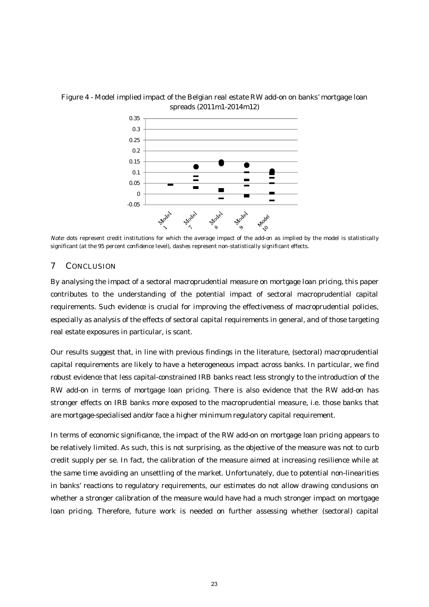

#### Figure 4 - Model implied impact of the Belgian real estate RW add-on on banks' mortgage loan spreads (2011m1-2014m12)

Note: dots represent credit institutions for which the average impact of the add-on as implied by the model is statistically significant (at the 95 percent confidence level), dashes represent non-statistically significant effects.

#### 7 CONCLUSION

By analysing the impact of a sectoral macroprudential measure on mortgage loan pricing, this paper contributes to the understanding of the potential impact of sectoral macroprudential capital requirements. Such evidence is crucial for improving the effectiveness of macroprudential policies, especially as analysis of the effects of sectoral capital requirements in general, and of those targeting real estate exposures in particular, is scant.

Our results suggest that, in line with previous findings in the literature, (sectoral) macroprudential capital requirements are likely to have a heterogeneous impact across banks. In particular, we find robust evidence that less capital-constrained IRB banks react less strongly to the introduction of the RW add-on in terms of mortgage loan pricing. There is also evidence that the RW add-on has stronger effects on IRB banks more exposed to the macroprudential measure, i.e. those banks that are mortgage-specialised and/or face a higher minimum regulatory capital requirement.

In terms of economic significance, the impact of the RW add-on on mortgage loan pricing appears to be relatively limited. As such, this is not surprising, as the objective of the measure was not to curb credit supply per se. In fact, the calibration of the measure aimed at increasing resilience while at the same time avoiding an unsettling of the market. Unfortunately, due to potential non-linearities in banks' reactions to regulatory requirements, our estimates do not allow drawing conclusions on whether a stronger calibration of the measure would have had a much stronger impact on mortgage loan pricing. Therefore, future work is needed on further assessing whether (sectoral) capital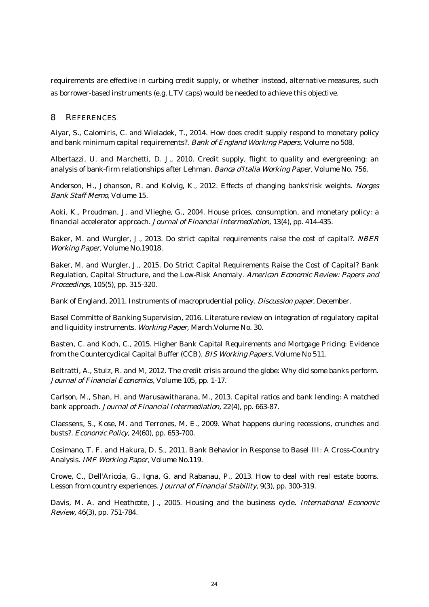requirements are effective in curbing credit supply, or whether instead, alternative measures, such as borrower-based instruments (e.g. LTV caps) would be needed to achieve this objective.

#### 8 REFERENCES

Aiyar, S., Calomiris, C. and Wieladek, T., 2014. How does credit supply respond to monetary policy and bank minimum capital requirements?. Bank of England Working Papers, Volume no 508.

Albertazzi, U. and Marchetti, D. J., 2010. Credit supply, flight to quality and evergreening: an analysis of bank-firm relationships after Lehman. Banca d'Italia Working Paper, Volume No. 756.

Anderson, H., Johanson, R. and Kolvig, K., 2012. Effects of changing banks'risk weights. Norges Bank Staff Memo, Volume 15.

Aoki, K., Proudman, J. and Vlieghe, G., 2004. House prices, consumption, and monetary policy: a financial accelerator approach. Journal of Financial Intermediation, 13(4), pp. 414-435.

Baker, M. and Wurgler, J., 2013. Do strict capital requirements raise the cost of capital?. NBER Working Paper, Volume No.19018.

Baker, M. and Wurgler, J., 2015. Do Strict Capital Requirements Raise the Cost of Capital? Bank Regulation, Capital Structure, and the Low-Risk Anomaly. American Economic Review: Papers and Proceedings, 105(5), pp. 315-320.

Bank of England, 2011. Instruments of macroprudential policy. Discussion paper, December.

Basel Committe of Banking Supervision, 2016. Literature review on integration of regulatory capital and liquidity instruments. Working Paper, March.Volume No. 30.

Basten, C. and Koch, C., 2015. Higher Bank Capital Requirements and Mortgage Pricing: Evidence from the Countercyclical Capital Buffer (CCB). BIS Working Papers, Volume No 511.

Beltratti, A., Stulz, R. and M, 2012. The credit crisis around the globe: Why did some banks perform. Journal of Financial Economics, Volume 105, pp. 1-17.

Carlson, M., Shan, H. and Warusawitharana, M., 2013. Capital ratios and bank lending: A matched bank approach. Journal of Financial Intermediation, 22(4), pp. 663-87.

Claessens, S., Kose, M. and Terrones, M. E., 2009. What happens during recessions, crunches and busts?. Economic Policy, 24(60), pp. 653-700.

Cosimano, T. F. and Hakura, D. S., 2011. Bank Behavior in Response to Basel III: A Cross-Country Analysis. IMF Working Paper, Volume No.119.

Crowe, C., Dell'Ariccia, G., Igna, G. and Rabanau, P., 2013. How to deal with real estate booms. Lesson from country experiences. Journal of Financial Stability, 9(3), pp. 300-319.

Davis, M. A. and Heathcote, J., 2005. Housing and the business cycle. International Economic Review, 46(3), pp. 751-784.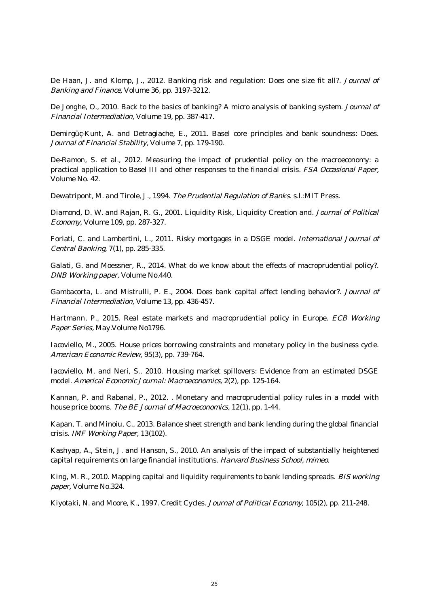De Haan, J. and Klomp, J., 2012. Banking risk and regulation: Does one size fit all?. Journal of Banking and Finance, Volume 36, pp. 3197-3212.

De Jonghe, O., 2010. Back to the basics of banking? A micro analysis of banking system. Journal of Financial Intermediation, Volume 19, pp. 387-417.

Demirgüç-Kunt, A. and Detragiache, E., 2011. Basel core principles and bank soundness: Does. Journal of Financial Stability, Volume 7, pp. 179-190.

De-Ramon, S. et al., 2012. Measuring the impact of prudential policy on the macroeconomy: a practical application to Basel III and other responses to the financial crisis. FSA Occasional Paper, Volume No. 42.

Dewatripont, M. and Tirole, J., 1994. The Prudential Regulation of Banks. s.l.:MIT Press.

Diamond, D. W. and Rajan, R. G., 2001. Liquidity Risk, Liquidity Creation and. Journal of Political Economy, Volume 109, pp. 287-327.

Forlati, C. and Lambertini, L., 2011. Risky mortgages in a DSGE model. International Journal of Central Banking, 7(1), pp. 285-335.

Galati, G. and Moessner, R., 2014. What do we know about the effects of macroprudential policy?. DNB Working paper, Volume No.440.

Gambacorta, L. and Mistrulli, P. E., 2004. Does bank capital affect lending behavior?. Journal of Financial Intermediation, Volume 13, pp. 436-457.

Hartmann, P., 2015. Real estate markets and macroprudential policy in Europe. ECB Working Paper Series, May.Volume No1796.

Iacoviello, M., 2005. House prices borrowing constraints and monetary policy in the business cycle. American Economic Review, 95(3), pp. 739-764.

Iacoviello, M. and Neri, S., 2010. Housing market spillovers: Evidence from an estimated DSGE model. Americal Economic Journal: Macroeconomics, 2(2), pp. 125-164.

Kannan, P. and Rabanal, P., 2012. . Monetary and macroprudential policy rules in a model with house price booms. The BE Journal of Macroeconomics, 12(1), pp. 1-44.

Kapan, T. and Minoiu, C., 2013. Balance sheet strength and bank lending during the global financial crisis. IMF Working Paper, 13(102).

Kashyap, A., Stein, J. and Hanson, S., 2010. An analysis of the impact of substantially heightened capital requirements on large financial institutions. Harvard Business School, mimeo.

King, M. R., 2010. Mapping capital and liquidity requirements to bank lending spreads. BIS working paper, Volume No.324.

Kiyotaki, N. and Moore, K., 1997. Credit Cycles. Journal of Political Economy, 105(2), pp. 211-248.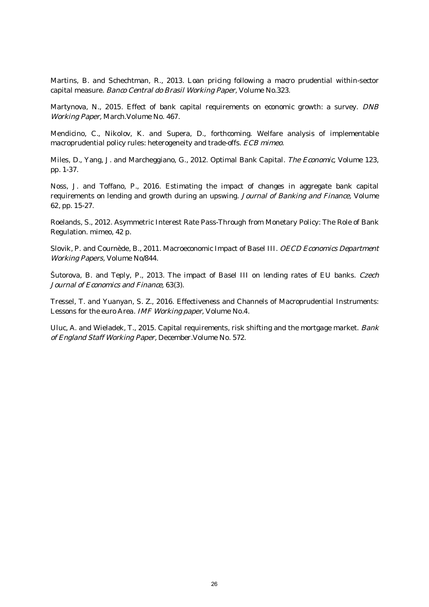Martins, B. and Schechtman, R., 2013. Loan pricing following a macro prudential within-sector capital measure. Banco Central do Brasil Working Paper, Volume No.323.

Martynova, N., 2015. Effect of bank capital requirements on economic growth: a survey. DNB Working Paper, March.Volume No. 467.

Mendicino, C., Nikolov, K. and Supera, D., forthcoming. Welfare analysis of implementable macroprudential policy rules: heterogeneity and trade-offs. ECB mimeo.

Miles, D., Yang, J. and Marcheggiano, G., 2012. Optimal Bank Capital. The Economic, Volume 123, pp. 1-37.

Noss, J. and Toffano, P., 2016. Estimating the impact of changes in aggregate bank capital requirements on lending and growth during an upswing. Journal of Banking and Finance, Volume 62, pp. 15-27.

Roelands, S., 2012. Asymmetric Interest Rate Pass-Through from Monetary Policy: The Role of Bank Regulation. mimeo, 42 p.

Slovik, P. and Cournède, B., 2011. Macroeconomic Impact of Basel III. OECD Economics Department Working Papers, Volume No/844.

Šutorova, B. and Teply, P., 2013. The impact of Basel III on lending rates of EU banks. Czech Journal of Economics and Finance, 63(3).

Tressel, T. and Yuanyan, S. Z., 2016. Effectiveness and Channels of Macroprudential Instruments: Lessons for the euro Area. IMF Working paper, Volume No.4.

Uluc, A. and Wieladek, T., 2015. Capital requirements, risk shifting and the mortgage market. Bank of England Staff Working Paper, December.Volume No. 572.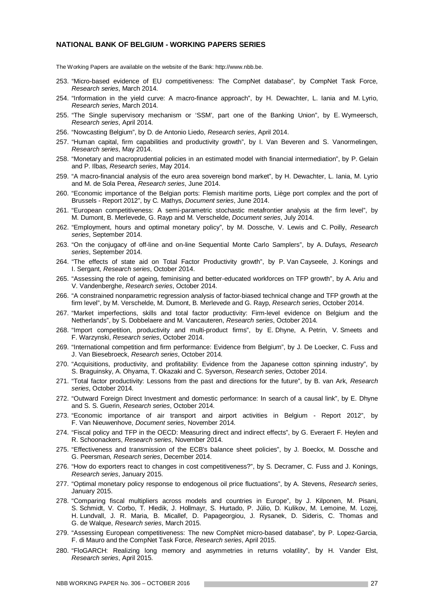#### **NATIONAL BANK OF BELGIUM - WORKING PAPERS SERIES**

The Working Papers are available on the website of the Bank: http://www.nbb.be.

- 253. "Micro-based evidence of EU competitiveness: The CompNet database", by CompNet Task Force, *Research series*, March 2014.
- 254. "Information in the yield curve: A macro-finance approach", by H. Dewachter, L. Iania and M. Lyrio, *Research series*, March 2014.
- 255. "The Single supervisory mechanism or 'SSM', part one of the Banking Union", by E. Wymeersch, *Research series*, April 2014.
- 256. "Nowcasting Belgium", by D. de Antonio Liedo, *Research series*, April 2014.
- 257. "Human capital, firm capabilities and productivity growth", by I. Van Beveren and S. Vanormelingen, *Research series*, May 2014.
- 258. "Monetary and macroprudential policies in an estimated model with financial intermediation", by P. Gelain and P. Ilbas, *Research series*, May 2014.
- 259. "A macro-financial analysis of the euro area sovereign bond market", by H. Dewachter, L. Iania, M. Lyrio and M. de Sola Perea, *Research series*, June 2014.
- 260. "Economic importance of the Belgian ports: Flemish maritime ports, Liège port complex and the port of Brussels - Report 2012", by C. Mathys, *Document series*, June 2014.
- 261. "European competitiveness: A semi-parametric stochastic metafrontier analysis at the firm level", by M. Dumont, B. Merlevede, G. Rayp and M. Verschelde, *Document series*, July 2014.
- 262. "Employment, hours and optimal monetary policy", by M. Dossche, V. Lewis and C. Poilly, *Research series*, September 2014.
- 263. "On the conjugacy of off-line and on-line Sequential Monte Carlo Samplers", by A. Dufays, *Research series*, September 2014.
- 264. "The effects of state aid on Total Factor Productivity growth", by P. Van Cayseele, J. Konings and I. Sergant, *Research series*, October 2014.
- 265. "Assessing the role of ageing, feminising and better-educated workforces on TFP growth", by A. Ariu and V. Vandenberghe, *Research series*, October 2014.
- 266. "A constrained nonparametric regression analysis of factor-biased technical change and TFP growth at the firm level", by M. Verschelde, M. Dumont, B. Merlevede and G. Rayp, *Research series*, October 2014.
- 267. "Market imperfections, skills and total factor productivity: Firm-level evidence on Belgium and the Netherlands", by S. Dobbelaere and M. Vancauteren, *Research series*, October 2014.
- 268. "Import competition, productivity and multi-product firms", by E. Dhyne, A. Petrin, V. Smeets and F. Warzynski, *Research series*, October 2014.
- 269. "International competition and firm performance: Evidence from Belgium", by J. De Loecker, C. Fuss and J. Van Biesebroeck, *Research series*, October 2014.
- 270. "Acquisitions, productivity, and profitability: Evidence from the Japanese cotton spinning industry", by S. Braguinsky, A. Ohyama, T. Okazaki and C. Syverson, *Research series*, October 2014.
- 271. "Total factor productivity: Lessons from the past and directions for the future", by B. van Ark, *Research series*, October 2014.
- 272. "Outward Foreign Direct Investment and domestic performance: In search of a causal link", by E. Dhyne and S. S. Guerin, *Research series*, October 2014.
- 273. "Economic importance of air transport and airport activities in Belgium Report 2012", by F. Van Nieuwenhove, *Document series*, November 2014.
- 274. "Fiscal policy and TFP in the OECD: Measuring direct and indirect effects", by G. Everaert F. Heylen and R. Schoonackers, *Research series*, November 2014.
- 275. "Effectiveness and transmission of the ECB's balance sheet policies", by J. Boeckx, M. Dossche and G. Peersman, *Research series*, December 2014.
- 276. "How do exporters react to changes in cost competitiveness?", by S. Decramer, C. Fuss and J. Konings, *Research series*, January 2015.
- 277. "Optimal monetary policy response to endogenous oil price fluctuations", by A. Stevens, *Research series*, January 2015.
- 278. "Comparing fiscal multipliers across models and countries in Europe", by J. Kilponen, M. Pisani, S. Schmidt, V. Corbo, T. Hledik, J. Hollmayr, S. Hurtado, P. Júlio, D. Kulikov, M. Lemoine, M. Lozej, H. Lundvall, J. R. Maria, B. Micallef, D. Papageorgiou, J. Rysanek, D. Sideris, C. Thomas and G. de Walque, *Research series*, March 2015.
- 279. "Assessing European competitiveness: The new CompNet micro-based database", by P. Lopez-Garcia, F. di Mauro and the CompNet Task Force, *Research series*, April 2015.
- 280. "FloGARCH: Realizing long memory and asymmetries in returns volatility", by H. Vander Elst, *Research series*, April 2015.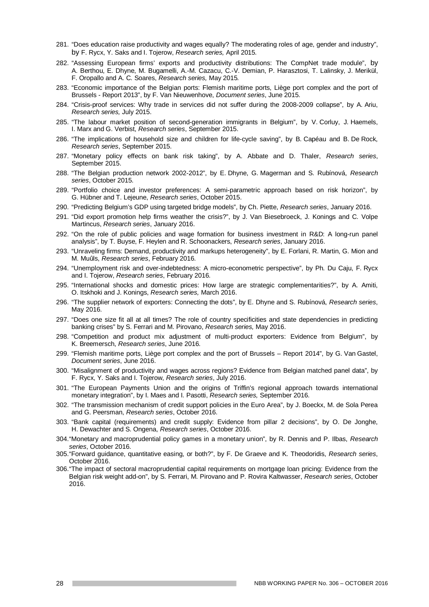- 281. "Does education raise productivity and wages equally? The moderating roles of age, gender and industry", by F. Rycx, Y. Saks and I. Tojerow, *Research series,* April 2015*.*
- 282. "Assessing European firms' exports and productivity distributions: The CompNet trade module", by A. Berthou, E. Dhyne, M. Bugamelli, A.-M. Cazacu, C.-V. Demian, P. Harasztosi, T. Lalinsky, J. Merikül, F. Oropallo and A. C. Soares, *Research series,* May 2015*.*
- 283. "Economic importance of the Belgian ports: Flemish maritime ports, Liège port complex and the port of Brussels - Report 2013", by F. Van Nieuwenhove, *Document series*, June 2015.
- 284. "Crisis-proof services: Why trade in services did not suffer during the 2008-2009 collapse", by A. Ariu, *Research series,* July 2015.
- 285. "The labour market position of second-generation immigrants in Belgium", by V. Corluy, J. Haemels, I. Marx and G. Verbist, *Research series*, September 2015.
- 286. "The implications of household size and children for life-cycle saving", by B. Capéau and B. De Rock, *Research series*, September 2015.
- 287. "Monetary policy effects on bank risk taking", by A. Abbate and D. Thaler, *Research series*, September 2015.
- 288. "The Belgian production network 2002-2012", by E. Dhyne, G. Magerman and S. Rubínová, *Research series*, October 2015.
- 289. "Portfolio choice and investor preferences: A semi-parametric approach based on risk horizon", by G. Hübner and T. Lejeune, *Research series*, October 2015.
- 290. "Predicting Belgium's GDP using targeted bridge models", by Ch. Piette, *Research series*, January 2016.
- 291. "Did export promotion help firms weather the crisis?", by J. Van Biesebroeck, J. Konings and C. Volpe Martincus, *Research series*, January 2016.
- 292. "On the role of public policies and wage formation for business investment in R&D: A long-run panel analysis", by T. Buyse, F. Heylen and R. Schoonackers, *Research series*, January 2016.
- 293. "Unraveling firms: Demand, productivity and markups heterogeneity", by E. Forlani, R. Martin, G. Mion and M. Muûls, *Research series*, February 2016.
- 294. "Unemployment risk and over-indebtedness: A micro-econometric perspective", by Ph. Du Caju, F. Rycx and I. Tojerow, *Research series*, February 2016.
- 295. "International shocks and domestic prices: How large are strategic complementarities?", by A. Amiti, O. Itskhoki and J. Konings, *Research series,* March 2016.
- 296. "The supplier network of exporters: Connecting the dots", by E. Dhyne and S. Rubínová, *Research series*, May 2016.
- 297. "Does one size fit all at all times? The role of country specificities and state dependencies in predicting banking crises" by S. Ferrari and M. Pirovano, *Research series,* May 2016.
- 298. "Competition and product mix adjustment of multi-product exporters: Evidence from Belgium", by K. Breemersch, *Research series*, June 2016.
- 299. "Flemish maritime ports, Liège port complex and the port of Brussels Report 2014", by G. Van Gastel, *Document series*, June 2016.
- 300. "Misalignment of productivity and wages across regions? Evidence from Belgian matched panel data", by F. Rycx, Y. Saks and I. Tojerow, *Research series*, July 2016.
- 301. "The European Payments Union and the origins of Triffin's regional approach towards international monetary integration", by I. Maes and I. Pasotti, *Research series,* September 2016.
- 302. "The transmission mechanism of credit support policies in the Euro Area", by J. Boeckx, M. de Sola Perea and G. Peersman, *Research series*, October 2016.
- 303. "Bank capital (requirements) and credit supply: Evidence from pillar 2 decisions", by O. De Jonghe, H. Dewachter and S. Ongena, *Research series*, October 2016.
- 304. "Monetary and macroprudential policy games in a monetary union", by R. Dennis and P. Ilbas, *Research series*, October 2016.
- 305. "Forward guidance, quantitative easing, or both?", by F. De Graeve and K. Theodoridis, *Research series*, October 2016.
- 306. "The impact of sectoral macroprudential capital requirements on mortgage loan pricing: Evidence from the Belgian risk weight add-on", by S. Ferrari, M. Pirovano and P. Rovira Kaltwasser, *Research series*, October 2016.